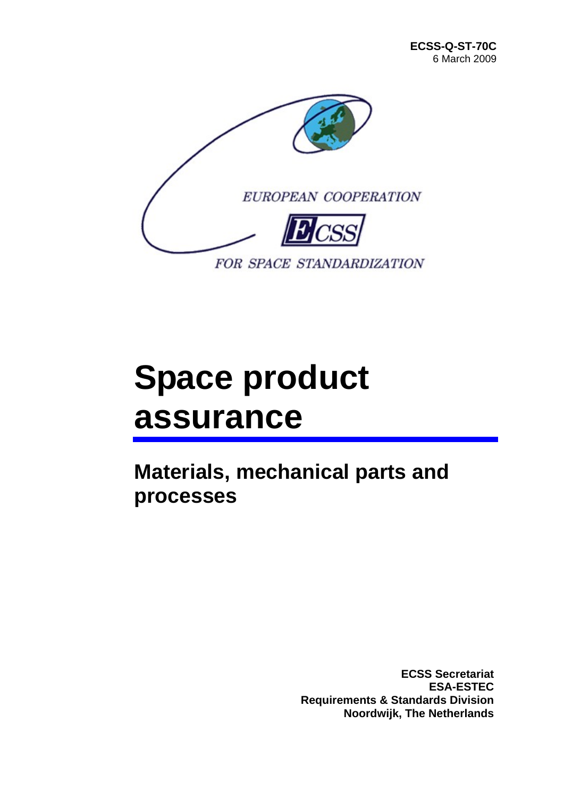

# **Space product assurance**

**Materials, mechanical parts and processes** 

> **ECSS Secretariat ESA-ESTEC Requirements & Standards Division Noordwijk, The Netherlands**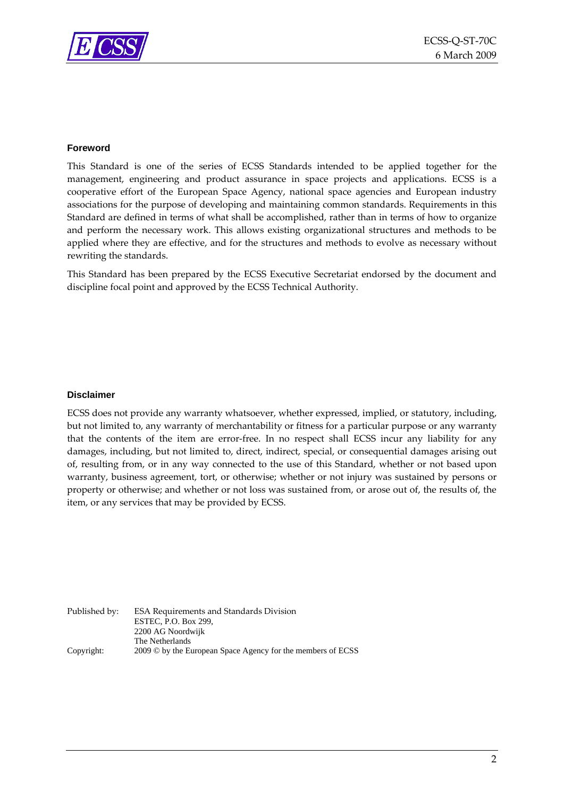

#### **Foreword**

This Standard is one of the series of ECSS Standards intended to be applied together for the management, engineering and product assurance in space projects and applications. ECSS is a cooperative effort of the European Space Agency, national space agencies and European industry associations for the purpose of developing and maintaining common standards. Requirements in this Standard are defined in terms of what shall be accomplished, rather than in terms of how to organize and perform the necessary work. This allows existing organizational structures and methods to be applied where they are effective, and for the structures and methods to evolve as necessary without rewriting the standards.

This Standard has been prepared by the ECSS Executive Secretariat endorsed by the document and discipline focal point and approved by the ECSS Technical Authority.

#### **Disclaimer**

ECSS does not provide any warranty whatsoever, whether expressed, implied, or statutory, including, but not limited to, any warranty of merchantability or fitness for a particular purpose or any warranty that the contents of the item are error‐free. In no respect shall ECSS incur any liability for any damages, including, but not limited to, direct, indirect, special, or consequential damages arising out of, resulting from, or in any way connected to the use of this Standard, whether or not based upon warranty, business agreement, tort, or otherwise; whether or not injury was sustained by persons or property or otherwise; and whether or not loss was sustained from, or arose out of, the results of, the item, or any services that may be provided by ECSS.

Published by: ESA Requirements and Standards Division ESTEC, P.O. Box 299, 2200 AG Noordwijk The Netherlands Copyright: 2009 © by the European Space Agency for the members of ECSS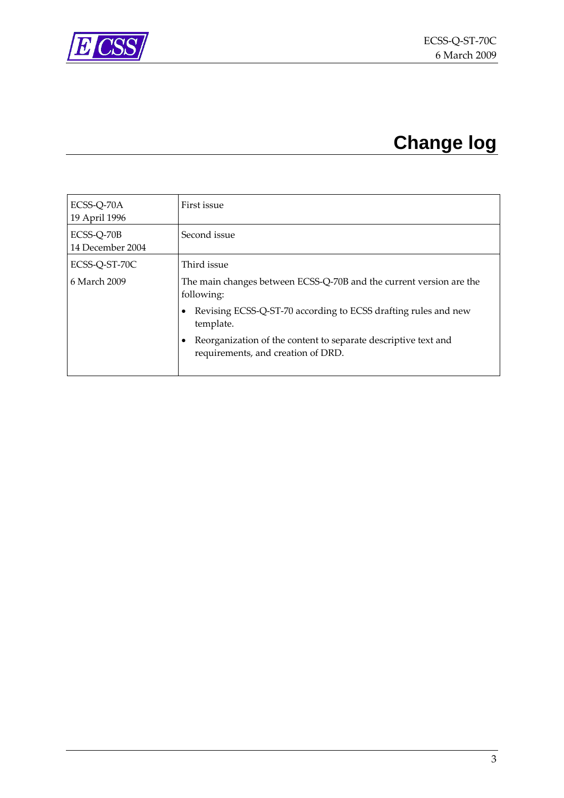<span id="page-2-0"></span>

# **Change log**

| ECSS-Q-70A<br>19 April 1996    | First issue                                                                                          |
|--------------------------------|------------------------------------------------------------------------------------------------------|
| ECSS-Q-70B<br>14 December 2004 | Second issue                                                                                         |
| ECSS-Q-ST-70C                  | Third issue                                                                                          |
| 6 March 2009                   | The main changes between ECSS-Q-70B and the current version are the<br>following:                    |
|                                | Revising ECSS-Q-ST-70 according to ECSS drafting rules and new<br>template.                          |
|                                | Reorganization of the content to separate descriptive text and<br>requirements, and creation of DRD. |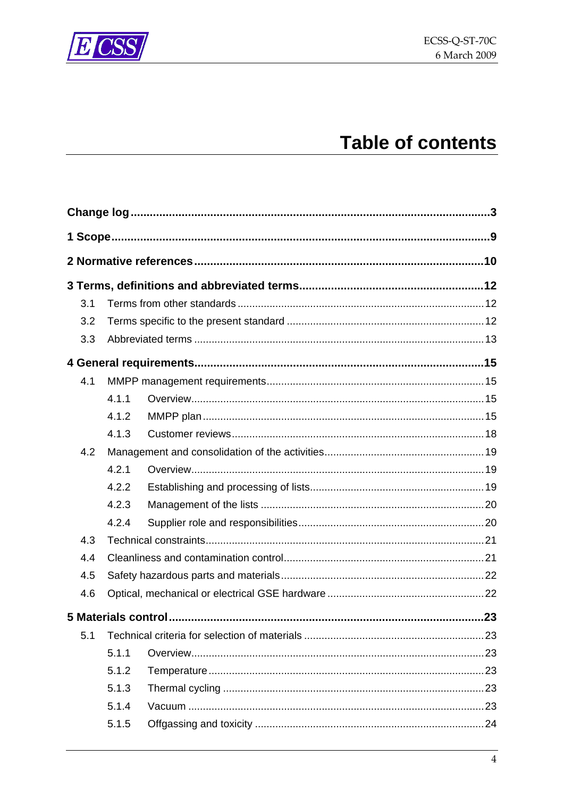

# **Table of contents**

| 3.1 |       |  |
|-----|-------|--|
| 3.2 |       |  |
| 3.3 |       |  |
|     |       |  |
| 4.1 |       |  |
|     | 4.1.1 |  |
|     | 4.1.2 |  |
|     | 4.1.3 |  |
| 4.2 |       |  |
|     | 4.2.1 |  |
|     | 4.2.2 |  |
|     | 4.2.3 |  |
|     | 4.2.4 |  |
| 4.3 |       |  |
| 4.4 |       |  |
| 4.5 |       |  |
| 4.6 |       |  |
|     |       |  |
| 5.1 |       |  |
|     | 5.1.1 |  |
|     | 5.1.2 |  |
|     | 5.1.3 |  |
|     | 5.1.4 |  |
|     | 5.1.5 |  |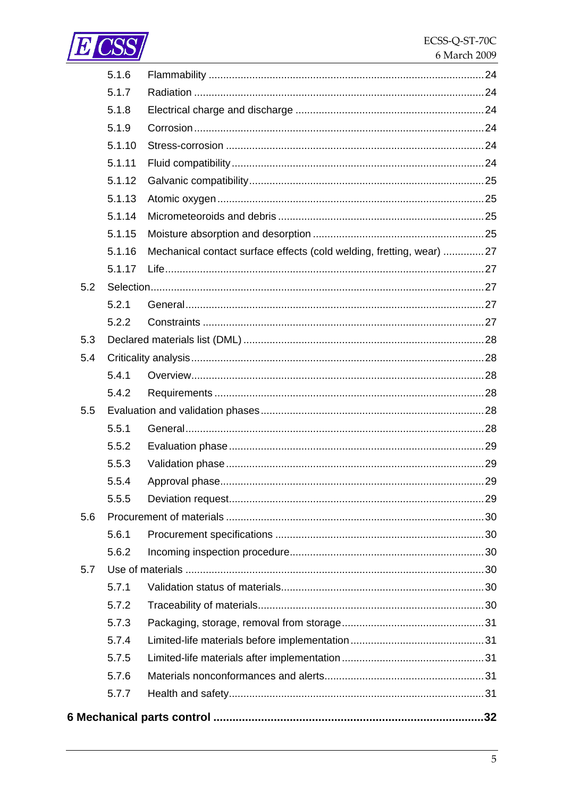

|     | 5.1.6  |                                                                      |  |
|-----|--------|----------------------------------------------------------------------|--|
|     | 5.1.7  |                                                                      |  |
|     | 5.1.8  |                                                                      |  |
|     | 5.1.9  |                                                                      |  |
|     | 5.1.10 |                                                                      |  |
|     | 5.1.11 |                                                                      |  |
|     | 5.1.12 |                                                                      |  |
|     | 5.1.13 |                                                                      |  |
|     | 5.1.14 |                                                                      |  |
|     | 5.1.15 |                                                                      |  |
|     | 5.1.16 | Mechanical contact surface effects (cold welding, fretting, wear) 27 |  |
|     | 5.1.17 |                                                                      |  |
| 5.2 |        |                                                                      |  |
|     | 5.2.1  |                                                                      |  |
|     | 5.2.2  |                                                                      |  |
| 5.3 |        |                                                                      |  |
| 5.4 |        |                                                                      |  |
|     | 5.4.1  |                                                                      |  |
|     | 5.4.2  |                                                                      |  |
| 5.5 |        |                                                                      |  |
|     | 5.5.1  |                                                                      |  |
|     | 5.5.2  |                                                                      |  |
|     | 5.5.3  |                                                                      |  |
|     | 5.5.4  |                                                                      |  |
|     | 5.5.5  |                                                                      |  |
| 5.6 |        |                                                                      |  |
|     | 5.6.1  |                                                                      |  |
|     | 5.6.2  |                                                                      |  |
| 5.7 |        |                                                                      |  |
|     | 5.7.1  |                                                                      |  |
|     | 5.7.2  |                                                                      |  |
|     | 5.7.3  |                                                                      |  |
|     | 5.7.4  |                                                                      |  |
|     | 5.7.5  |                                                                      |  |
|     | 5.7.6  |                                                                      |  |
|     | 5.7.7  |                                                                      |  |
|     |        |                                                                      |  |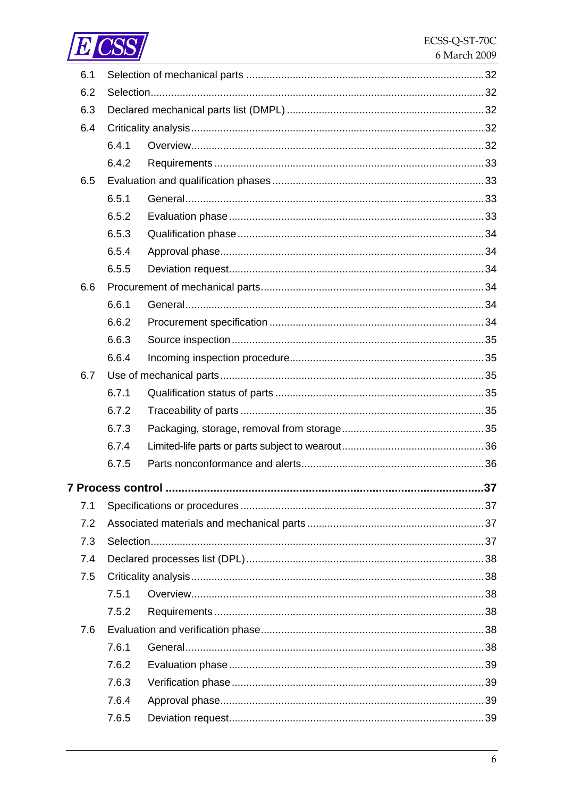

| 6.1 |       |                   |    |
|-----|-------|-------------------|----|
| 6.2 |       |                   |    |
| 6.3 |       |                   |    |
| 6.4 |       |                   |    |
|     | 6.4.1 |                   |    |
|     | 6.4.2 |                   |    |
| 6.5 |       |                   |    |
|     | 6.5.1 |                   |    |
|     | 6.5.2 |                   |    |
|     | 6.5.3 |                   |    |
|     | 6.5.4 |                   |    |
|     | 6.5.5 |                   |    |
| 6.6 |       |                   |    |
|     | 6.6.1 |                   |    |
|     | 6.6.2 |                   |    |
|     | 6.6.3 |                   |    |
|     | 6.6.4 |                   |    |
| 6.7 |       |                   |    |
|     | 6.7.1 |                   |    |
|     | 6.7.2 |                   |    |
|     | 6.7.3 |                   |    |
|     | 6.7.4 |                   |    |
|     | 6.7.5 |                   |    |
|     |       | 7 Process control | 37 |
| 7.1 |       |                   |    |
| 7.2 |       |                   |    |
| 7.3 |       |                   |    |
| 7.4 |       |                   |    |
| 7.5 |       |                   |    |
|     | 7.5.1 |                   |    |
|     | 7.5.2 |                   |    |
| 7.6 |       |                   |    |
|     | 7.6.1 |                   |    |
|     | 7.6.2 |                   |    |
|     | 7.6.3 |                   |    |
|     | 7.6.4 |                   |    |
|     | 7.6.5 |                   |    |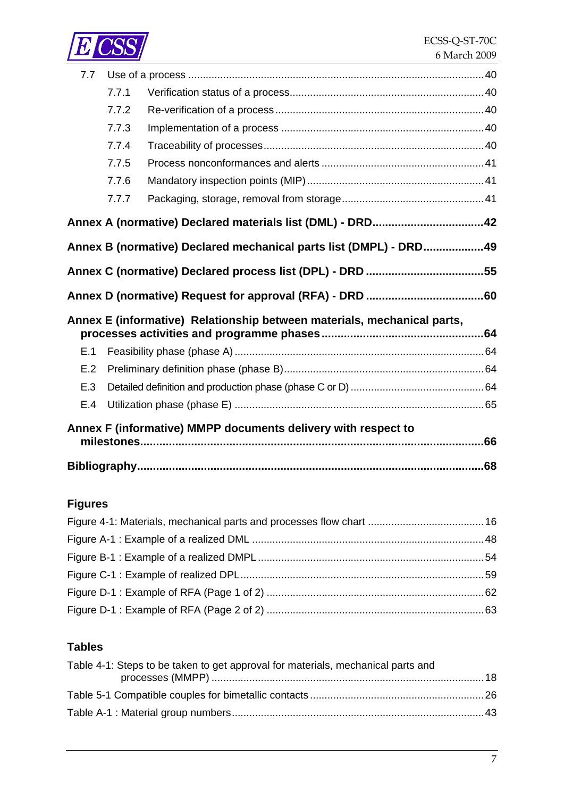

| 7.7 |       |                                                                         |  |
|-----|-------|-------------------------------------------------------------------------|--|
|     | 7.7.1 |                                                                         |  |
|     | 7.7.2 |                                                                         |  |
|     | 7.7.3 |                                                                         |  |
|     | 7.7.4 |                                                                         |  |
|     | 7.7.5 |                                                                         |  |
|     | 7.7.6 |                                                                         |  |
|     | 7.7.7 |                                                                         |  |
|     |       |                                                                         |  |
|     |       | Annex B (normative) Declared mechanical parts list (DMPL) - DRD49       |  |
|     |       |                                                                         |  |
|     |       |                                                                         |  |
|     |       |                                                                         |  |
|     |       | Annex E (informative) Relationship between materials, mechanical parts, |  |
| E.1 |       |                                                                         |  |
| E.2 |       |                                                                         |  |
| E.3 |       |                                                                         |  |
| E.4 |       |                                                                         |  |
|     |       | Annex F (informative) MMPP documents delivery with respect to           |  |
|     |       |                                                                         |  |

## **Figures**

### **Tables**

| Table 4-1: Steps to be taken to get approval for materials, mechanical parts and |  |
|----------------------------------------------------------------------------------|--|
|                                                                                  |  |
|                                                                                  |  |
|                                                                                  |  |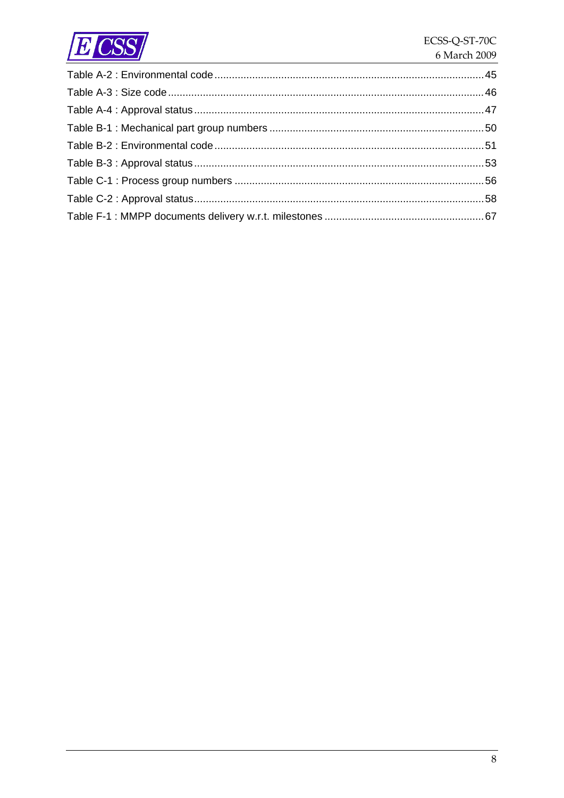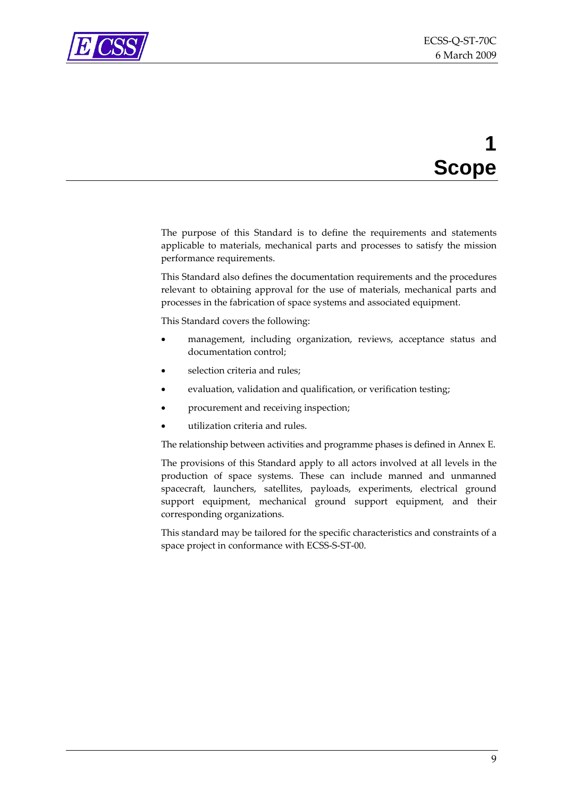<span id="page-8-0"></span>

# **1 Scope**

The purpose of this Standard is to define the requirements and statements applicable to materials, mechanical parts and processes to satisfy the mission performance requirements.

This Standard also defines the documentation requirements and the procedures relevant to obtaining approval for the use of materials, mechanical parts and processes in the fabrication of space systems and associated equipment.

This Standard covers the following:

- management, including organization, reviews, acceptance status and documentation control;
- selection criteria and rules:
- evaluation, validation and qualification, or verification testing;
- procurement and receiving inspection;
- utilization criteria and rules.

The relationship between activities and programme phases is defined in [Annex](#page-63-0) E.

The provisions of this Standard apply to all actors involved at all levels in the production of space systems. These can include manned and unmanned spacecraft, launchers, satellites, payloads, experiments, electrical ground support equipment, mechanical ground support equipment, and their corresponding organizations.

This standard may be tailored for the specific characteristics and constraints of a space project in conformance with ECSS‐S‐ST‐00.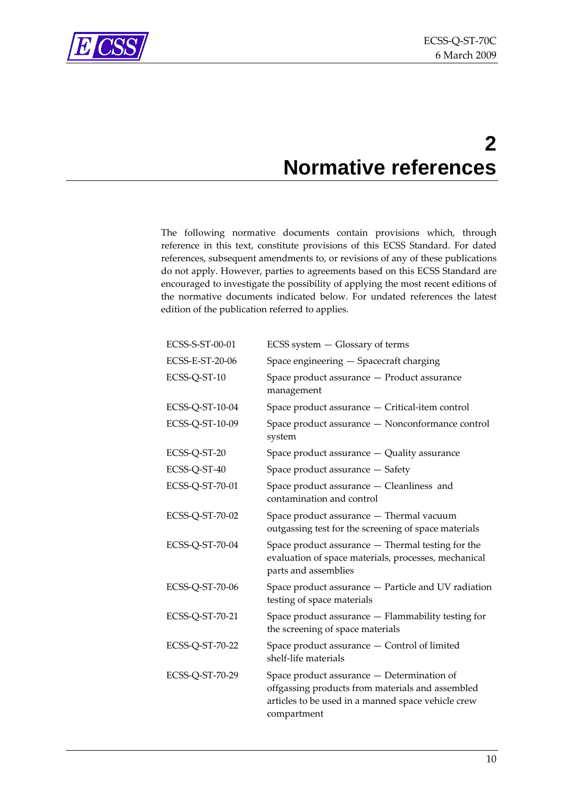<span id="page-9-0"></span>

# **2 Normative references**

The following normative documents contain provisions which, through reference in this text, constitute provisions of this ECSS Standard. For dated references, subsequent amendments to, or revisions of any of these publications do not apply. However, parties to agreements based on this ECSS Standard are encouraged to investigate the possibility of applying the most recent editions of the normative documents indicated below. For undated references the latest edition of the publication referred to applies.

| ECSS-S-ST-00-01 | ECSS system - Glossary of terms                                                                                                                                     |
|-----------------|---------------------------------------------------------------------------------------------------------------------------------------------------------------------|
| ECSS-E-ST-20-06 | Space engineering - Spacecraft charging                                                                                                                             |
| ECSS-Q-ST-10    | Space product assurance - Product assurance<br>management                                                                                                           |
| ECSS-Q-ST-10-04 | Space product assurance - Critical-item control                                                                                                                     |
| ECSS-Q-ST-10-09 | Space product assurance - Nonconformance control<br>system                                                                                                          |
| ECSS-Q-ST-20    | Space product assurance - Quality assurance                                                                                                                         |
| ECSS-Q-ST-40    | Space product assurance - Safety                                                                                                                                    |
| ECSS-Q-ST-70-01 | Space product assurance - Cleanliness and<br>contamination and control                                                                                              |
| ECSS-Q-ST-70-02 | Space product assurance - Thermal vacuum<br>outgassing test for the screening of space materials                                                                    |
| ECSS-Q-ST-70-04 | Space product assurance - Thermal testing for the<br>evaluation of space materials, processes, mechanical<br>parts and assemblies                                   |
| ECSS-Q-ST-70-06 | Space product assurance - Particle and UV radiation<br>testing of space materials                                                                                   |
| ECSS-Q-ST-70-21 | Space product assurance - Flammability testing for<br>the screening of space materials                                                                              |
| ECSS-Q-ST-70-22 | Space product assurance - Control of limited<br>shelf-life materials                                                                                                |
| ECSS-Q-ST-70-29 | Space product assurance - Determination of<br>offgassing products from materials and assembled<br>articles to be used in a manned space vehicle crew<br>compartment |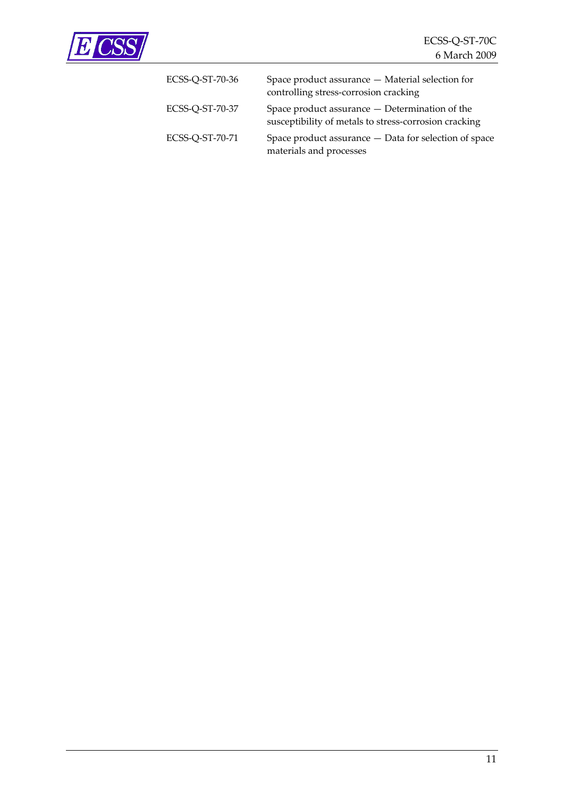

| ECSS-Q-ST-70-36 | Space product assurance - Material selection for<br>controlling stress-corrosion cracking               |
|-----------------|---------------------------------------------------------------------------------------------------------|
| ECSS-Q-ST-70-37 | Space product assurance — Determination of the<br>susceptibility of metals to stress-corrosion cracking |
| ECSS-Q-ST-70-71 | Space product assurance - Data for selection of space<br>materials and processes                        |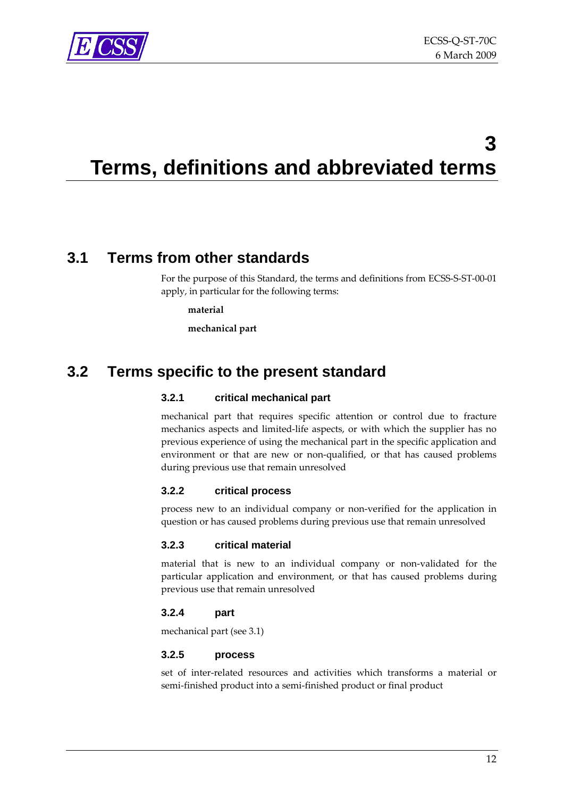<span id="page-11-0"></span>

# **3 Terms, definitions and abbreviated terms**

## **3.1 Terms from other standards**

For the purpose of this Standard, the terms and definitions from ECSS-S-ST-00-01 apply, in particular for the following terms:

**material**

**mechanical part**

## **3.2 Terms specific to the present standard**

#### **3.2.1 critical mechanical part**

mechanical part that requires specific attention or control due to fracture mechanics aspects and limited‐life aspects, or with which the supplier has no previous experience of using the mechanical part in the specific application and environment or that are new or non-qualified, or that has caused problems during previous use that remain unresolved

#### **3.2.2 critical process**

process new to an individual company or non‐verified for the application in question or has caused problems during previous use that remain unresolved

#### **3.2.3 critical material**

material that is new to an individual company or non‐validated for the particular application and environment, or that has caused problems during previous use that remain unresolved

#### **3.2.4 part**

mechanical part (see [3.1\)](#page-11-0)

#### **3.2.5 process**

set of inter‐related resources and activities which transforms a material or semi‐finished product into a semi‐finished product or final product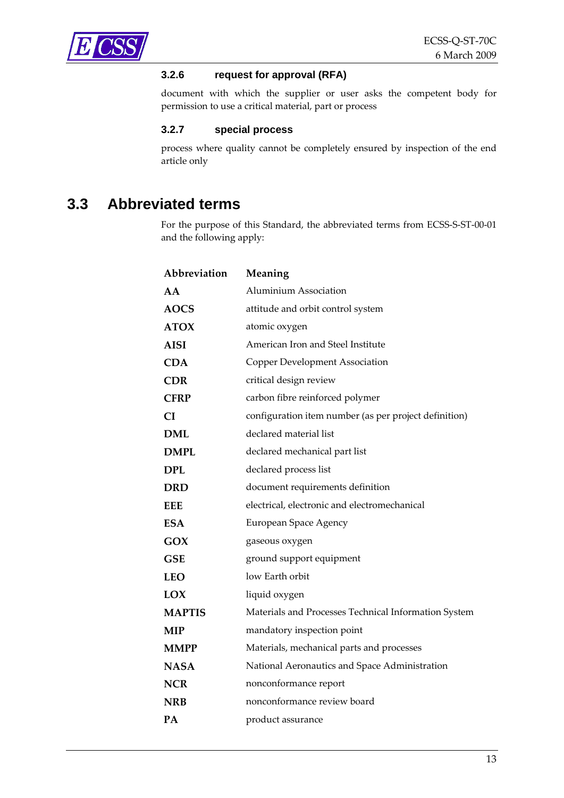<span id="page-12-0"></span>

#### **3.2.6 request for approval (RFA)**

document with which the supplier or user asks the competent body for permission to use a critical material, part or process

#### **3.2.7 special process**

process where quality cannot be completely ensured by inspection of the end article only

## **3.3 Abbreviated terms**

For the purpose of this Standard, the abbreviated terms from ECSS‐S‐ST‐00‐01 and the following apply:

| Abbreviation  | Meaning                                               |
|---------------|-------------------------------------------------------|
| AA            | <b>Aluminium Association</b>                          |
| <b>AOCS</b>   | attitude and orbit control system                     |
| <b>ATOX</b>   | atomic oxygen                                         |
| <b>AISI</b>   | American Iron and Steel Institute                     |
| <b>CDA</b>    | <b>Copper Development Association</b>                 |
| <b>CDR</b>    | critical design review                                |
| <b>CFRP</b>   | carbon fibre reinforced polymer                       |
| <b>CI</b>     | configuration item number (as per project definition) |
| <b>DML</b>    | declared material list                                |
| <b>DMPL</b>   | declared mechanical part list                         |
| <b>DPL</b>    | declared process list                                 |
| <b>DRD</b>    | document requirements definition                      |
| <b>EEE</b>    | electrical, electronic and electromechanical          |
| <b>ESA</b>    | European Space Agency                                 |
| GOX           | gaseous oxygen                                        |
| <b>GSE</b>    | ground support equipment                              |
| <b>LEO</b>    | low Earth orbit                                       |
| LOX           | liquid oxygen                                         |
| <b>MAPTIS</b> | Materials and Processes Technical Information System  |
| <b>MIP</b>    | mandatory inspection point                            |
| <b>MMPP</b>   | Materials, mechanical parts and processes             |
| <b>NASA</b>   | National Aeronautics and Space Administration         |
| <b>NCR</b>    | nonconformance report                                 |
| <b>NRB</b>    | nonconformance review board                           |
| PA            | product assurance                                     |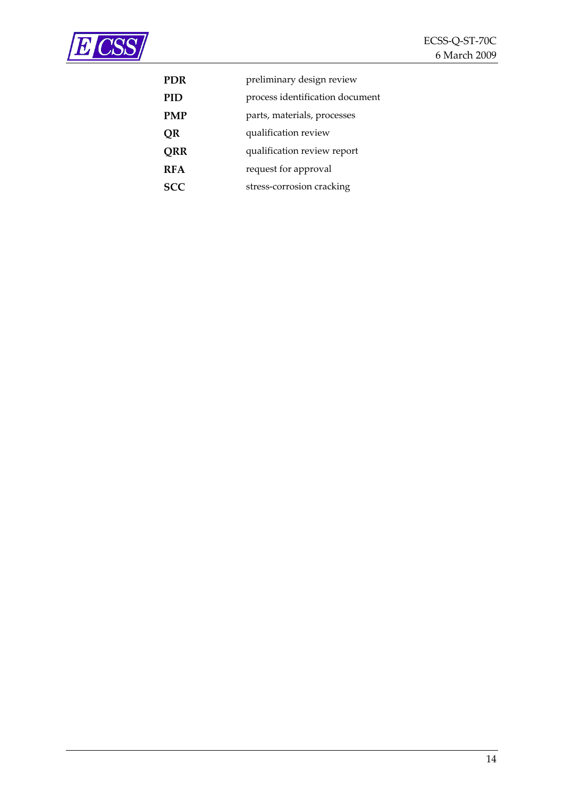

| PDR        | preliminary design review       |
|------------|---------------------------------|
| <b>PID</b> | process identification document |
| <b>PMP</b> | parts, materials, processes     |
| QR         | qualification review            |
| QRR        | qualification review report     |
| <b>RFA</b> | request for approval            |
| <b>SCC</b> | stress-corrosion cracking       |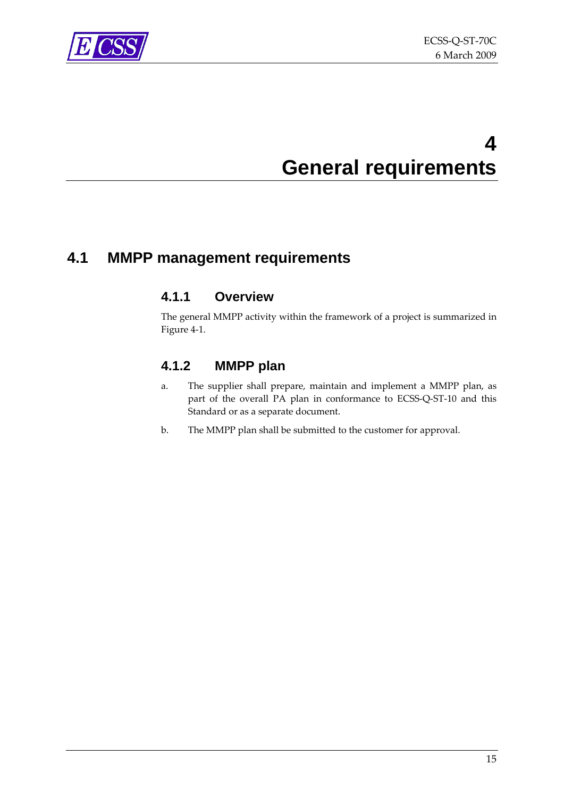<span id="page-14-0"></span>

# **4 General requirements**

# **4.1 MMPP management requirements**

#### **4.1.1 Overview**

The general MMPP activity within the framework of a project is summarized in [Figure](#page-15-0) 4‐1.

### **4.1.2 MMPP plan**

- a. The supplier shall prepare, maintain and implement a MMPP plan, as part of the overall PA plan in conformance to ECSS‐Q‐ST‐10 and this Standard or as a separate document.
- b. The MMPP plan shall be submitted to the customer for approval.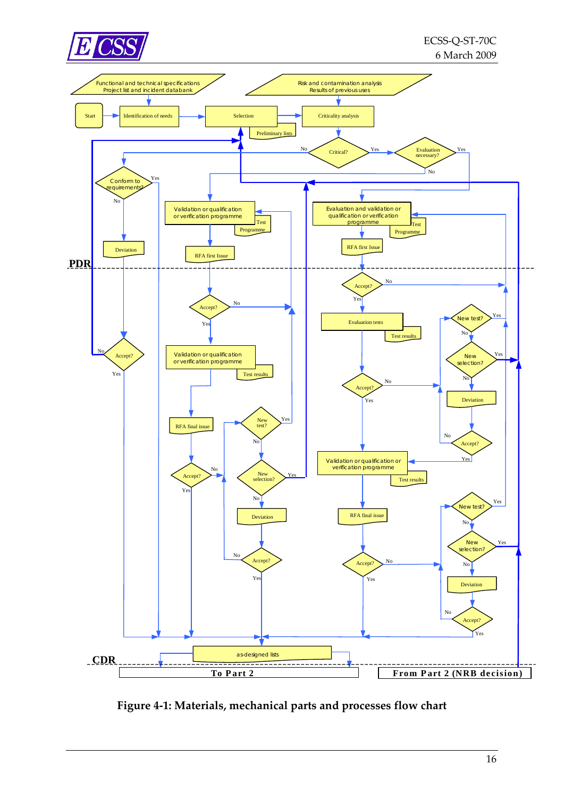<span id="page-15-0"></span>



**Figure 4‐1: Materials, mechanical parts and processes flow chart**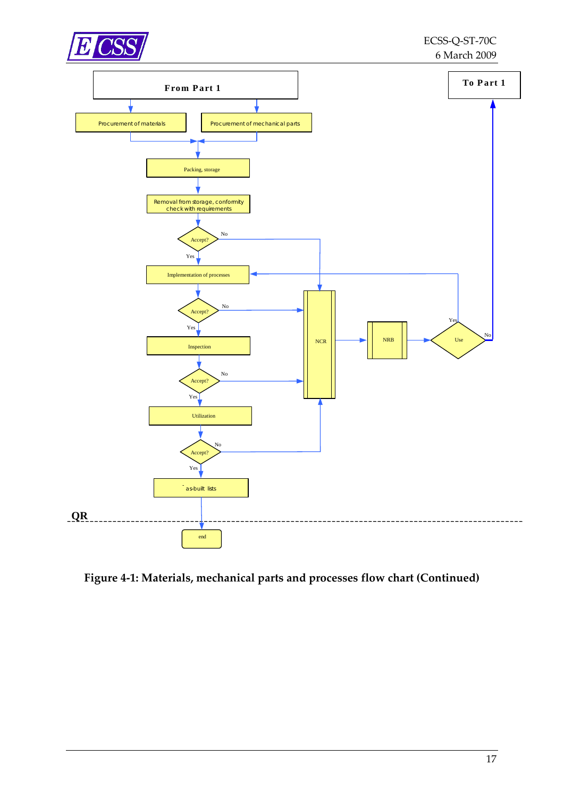

**Figure 4‐1: Materials, [mechanical](#page-15-0) parts and processes flow chart (Continued)**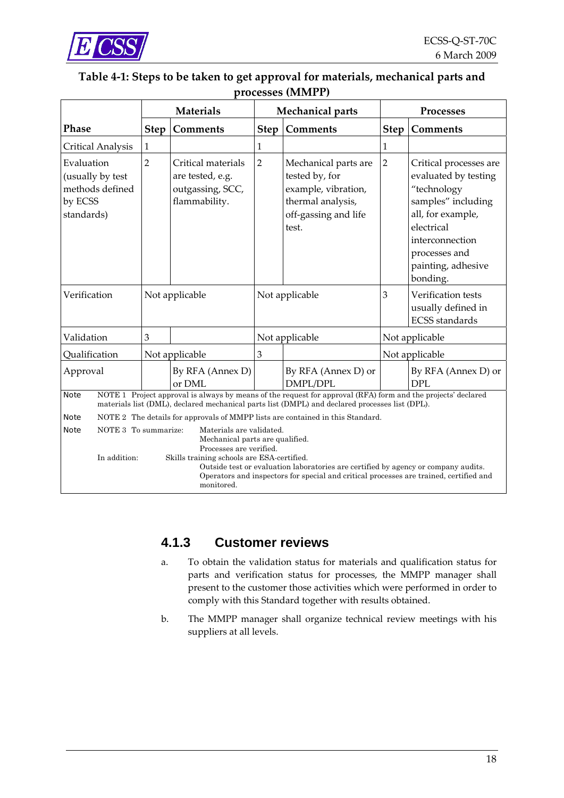<span id="page-17-0"></span>

#### **Table 4‐1: Steps to be taken to get approval for materials, mechanical parts and processes (MMPP)**

|                                                                                                                                                                                                                                                                                                                                                                                           |                | <b>Materials</b>                                                            |                | <b>Mechanical parts</b>                                                                                                                                                                                        | <b>Processes</b> |                                                                                                                                                                                              |  |
|-------------------------------------------------------------------------------------------------------------------------------------------------------------------------------------------------------------------------------------------------------------------------------------------------------------------------------------------------------------------------------------------|----------------|-----------------------------------------------------------------------------|----------------|----------------------------------------------------------------------------------------------------------------------------------------------------------------------------------------------------------------|------------------|----------------------------------------------------------------------------------------------------------------------------------------------------------------------------------------------|--|
| <b>Phase</b>                                                                                                                                                                                                                                                                                                                                                                              | <b>Step</b>    | <b>Comments</b>                                                             | <b>Step</b>    | Comments                                                                                                                                                                                                       | <b>Step</b>      | Comments                                                                                                                                                                                     |  |
| Critical Analysis                                                                                                                                                                                                                                                                                                                                                                         | 1              |                                                                             | 1              |                                                                                                                                                                                                                | 1                |                                                                                                                                                                                              |  |
| Evaluation<br>(usually by test<br>methods defined<br>by ECSS<br>standards)                                                                                                                                                                                                                                                                                                                | $\overline{2}$ | Critical materials<br>are tested, e.g.<br>outgassing, SCC,<br>flammability. | $\overline{2}$ | Mechanical parts are<br>tested by, for<br>example, vibration,<br>thermal analysis,<br>off-gassing and life<br>test.                                                                                            | $\overline{2}$   | Critical processes are<br>evaluated by testing<br>"technology<br>samples" including<br>all, for example,<br>electrical<br>interconnection<br>processes and<br>painting, adhesive<br>bonding. |  |
| Verification                                                                                                                                                                                                                                                                                                                                                                              |                | Not applicable                                                              |                | Not applicable                                                                                                                                                                                                 | 3                | Verification tests<br>usually defined in<br><b>ECSS</b> standards                                                                                                                            |  |
| Validation                                                                                                                                                                                                                                                                                                                                                                                | 3              |                                                                             |                | Not applicable                                                                                                                                                                                                 | Not applicable   |                                                                                                                                                                                              |  |
| Qualification                                                                                                                                                                                                                                                                                                                                                                             |                | Not applicable                                                              | 3              |                                                                                                                                                                                                                |                  | Not applicable                                                                                                                                                                               |  |
| Approval                                                                                                                                                                                                                                                                                                                                                                                  |                | By RFA (Annex D)<br>or DML                                                  |                | By RFA (Annex D) or<br>DMPL/DPL                                                                                                                                                                                |                  | By RFA (Annex D) or<br><b>DPL</b>                                                                                                                                                            |  |
| <b>Note</b>                                                                                                                                                                                                                                                                                                                                                                               |                |                                                                             |                | NOTE 1 Project approval is always by means of the request for approval (RFA) form and the projects' declared<br>materials list (DML), declared mechanical parts list (DMPL) and declared processes list (DPL). |                  |                                                                                                                                                                                              |  |
| <b>Note</b>                                                                                                                                                                                                                                                                                                                                                                               |                |                                                                             |                | NOTE 2 The details for approvals of MMPP lists are contained in this Standard.                                                                                                                                 |                  |                                                                                                                                                                                              |  |
| NOTE 3 To summarize:<br><b>Note</b><br>Materials are validated.<br>Mechanical parts are qualified.<br>Processes are verified.<br>In addition:<br>Skills training schools are ESA-certified.<br>Outside test or evaluation laboratories are certified by agency or company audits.<br>Operators and inspectors for special and critical processes are trained, certified and<br>monitored. |                |                                                                             |                |                                                                                                                                                                                                                |                  |                                                                                                                                                                                              |  |

#### **4.1.3 Customer reviews**

- a. To obtain the validation status for materials and qualification status for parts and verification status for processes, the MMPP manager shall present to the customer those activities which were performed in order to comply with this Standard together with results obtained.
- b. The MMPP manager shall organize technical review meetings with his suppliers at all levels.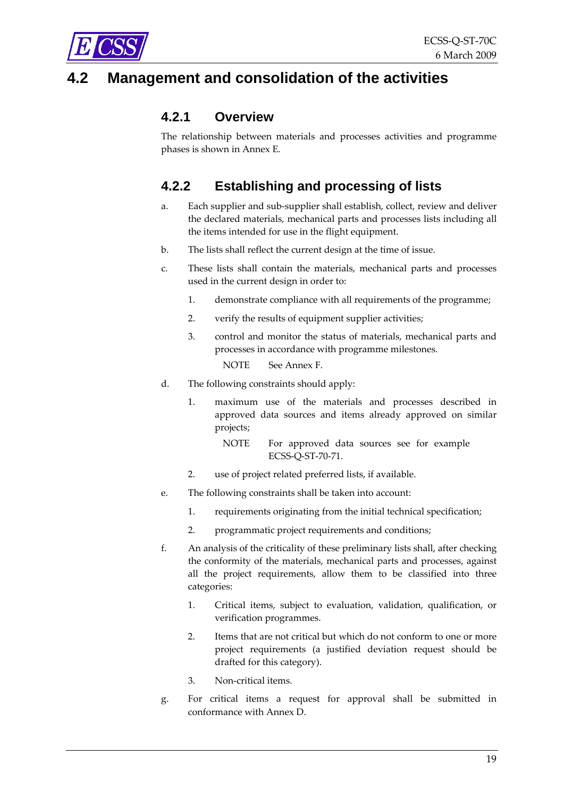<span id="page-18-0"></span>

# **Management and consolidation of the activities**

#### **4.2.1 Overview**

The relationship between materials and processes activities and programme phases is shown in [Annex](#page-63-0) E.

## **4.2.2 Establishing and processing of lists**

- a. Each supplier and sub‐supplier shall establish, collect, review and deliver the declared materials, mechanical parts and processes lists including all the items intended for use in the flight equipment.
- b. The lists shall reflect the current design at the time of issue.
- c. These lists shall contain the materials, mechanical parts and processes used in the current design in order to:
	- 1. demonstrate compliance with all requirements of the programme;
	- 2. verify the results of equipment supplier activities;
	- 3. control and monitor the status of materials, mechanical parts and processes in accordance with programme milestones.

NOTE See [Annex](#page-65-0) F.

- d. The following constraints should apply:
	- 1. maximum use of the materials and processes described in approved data sources and items already approved on similar projects;

NOTE For approved data sources see for example ECSS‐Q‐ST‐70‐71.

- 2. use of project related preferred lists, if available.
- e. The following constraints shall be taken into account:
	- 1. requirements originating from the initial technical specification;
	- 2. programmatic project requirements and conditions;
- f. An analysis of the criticality of these preliminary lists shall, after checking the conformity of the materials, mechanical parts and processes, against all the project requirements, allow them to be classified into three categories:
	- 1. Critical items, subject to evaluation, validation, qualification, or verification programmes.
	- 2. Items that are not critical but which do not conform to one or more project requirements (a justified deviation request should be drafted for this category).
	- 3. Non‐critical items.
- g. For critical items a request for approval shall be submitted in conformance with [Annex](#page-59-0) D.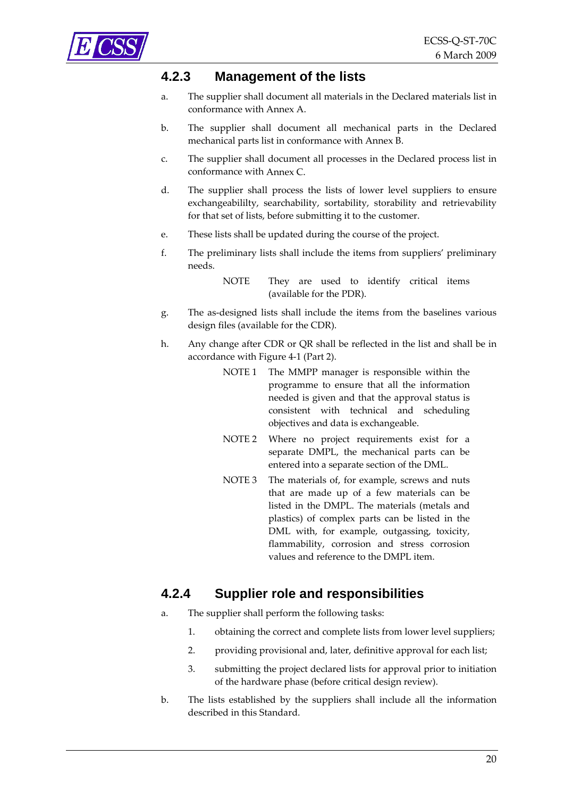<span id="page-19-0"></span>

#### **4.2.3 Management of the lists**

- a. The supplier shall document all materials in the Declared materials list in conformance with [Annex](#page-41-0) A.
- b. The supplier shall document all mechanical parts in the Declared mechanical parts list in conformance with [Annex](#page-48-0) B.
- c. The supplier shall document all processes in the Declared process list in conformance with [Annex](#page-54-0) C.
- d. The supplier shall process the lists of lower level suppliers to ensure exchangeabililty, searchability, sortability, storability and retrievability for that set of lists, before submitting it to the customer.
- e. These lists shall be updated during the course of the project.
- f. The preliminary lists shall include the items from suppliers' preliminary needs.
	- NOTE They are used to identify critical items (available for the PDR).
- g. The as‐designed lists shall include the items from the baselines various design files (available for the CDR).
- h. Any change after CDR or QR shall be reflected in the list and shall be in accordance with [Figure](#page-15-0) 4‐1 (Part 2).
	- NOTE 1 The MMPP manager is responsible within the programme to ensure that all the information needed is given and that the approval status is consistent with technical and scheduling objectives and data is exchangeable.
	- NOTE 2 Where no project requirements exist for a separate DMPL, the mechanical parts can be entered into a separate section of the DML.
	- NOTE 3 The materials of, for example, screws and nuts that are made up of a few materials can be listed in the DMPL. The materials (metals and plastics) of complex parts can be listed in the DML with, for example, outgassing, toxicity, flammability, corrosion and stress corrosion values and reference to the DMPL item.

#### **4.2.4 Supplier role and responsibilities**

- a. The supplier shall perform the following tasks:
	- 1. obtaining the correct and complete lists from lower level suppliers;
	- 2. providing provisional and, later, definitive approval for each list;
	- 3. submitting the project declared lists for approval prior to initiation of the hardware phase (before critical design review).
- b. The lists established by the suppliers shall include all the information described in this Standard.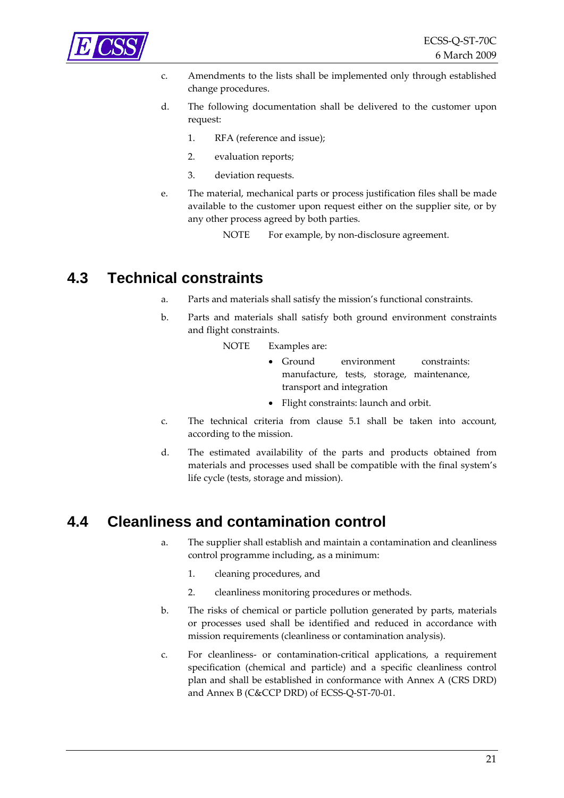<span id="page-20-0"></span>

- c. Amendments to the lists shall be implemented only through established change procedures.
- d. The following documentation shall be delivered to the customer upon request:
	- 1. RFA (reference and issue);
	- 2. evaluation reports;
	- 3. deviation requests.
- e. The material, mechanical parts or process justification files shall be made available to the customer upon request either on the supplier site, or by any other process agreed by both parties.
	- NOTE For example, by non-disclosure agreement.

## **4.3 Technical constraints**

- a. Parts and materials shall satisfy the mission's functional constraints.
- b. Parts and materials shall satisfy both ground environment constraints and flight constraints.
	- NOTE Examples are:
		- Ground environment constraints: manufacture, tests, storage, maintenance, transport and integration
		- Flight constraints: launch and orbit.
- c. The technical criteria from clause [5.1](#page-22-0) shall be taken into account, according to the mission.
- d. The estimated availability of the parts and products obtained from materials and processes used shall be compatible with the final system's life cycle (tests, storage and mission).

## **4.4 Cleanliness and contamination control**

- a. The supplier shall establish and maintain a contamination and cleanliness control programme including, as a minimum:
	- 1. cleaning procedures, and
	- 2. cleanliness monitoring procedures or methods.
- b. The risks of chemical or particle pollution generated by parts, materials or processes used shall be identified and reduced in accordance with mission requirements (cleanliness or contamination analysis).
- c. For cleanliness‐ or contamination‐critical applications, a requirement specification (chemical and particle) and a specific cleanliness control plan and shall be established in conformance with Annex A (CRS DRD) and Annex B (C&CCP DRD) of ECSS‐Q‐ST‐70‐01.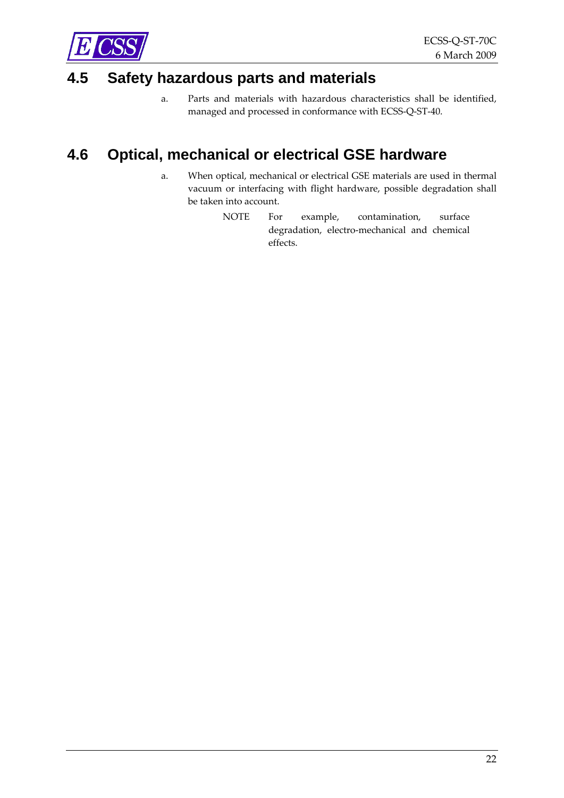<span id="page-21-0"></span>

## **4.5 Safety hazardous parts and materials**

a. Parts and materials with hazardous characteristics shall be identified, managed and processed in conformance with ECSS‐Q‐ST‐40.

# **4.6 Optical, mechanical or electrical GSE hardware**

- a. When optical, mechanical or electrical GSE materials are used in thermal vacuum or interfacing with flight hardware, possible degradation shall be taken into account.
	- NOTE For example, contamination, surface degradation, electro‐mechanical and chemical effects.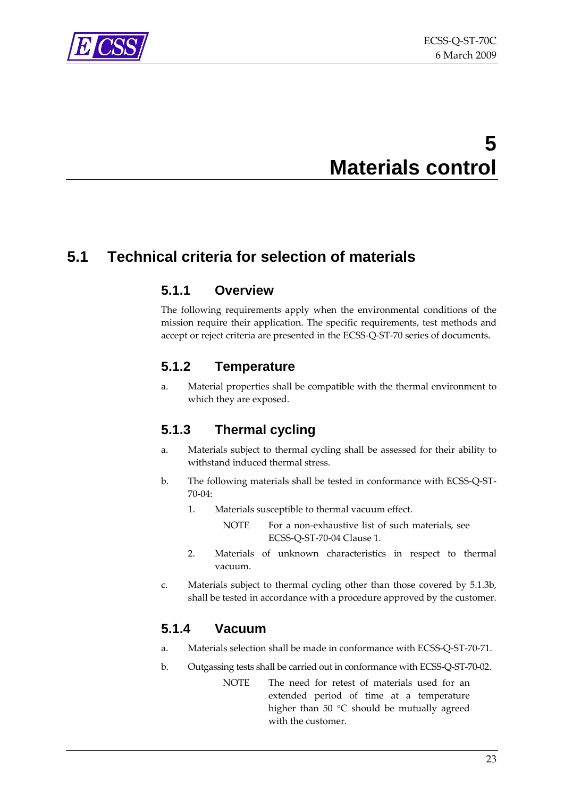<span id="page-22-0"></span>

# **5 Materials control**

# **5.1 Technical criteria for selection of materials**

#### **5.1.1 Overview**

The following requirements apply when the environmental conditions of the mission require their application. The specific requirements, test methods and accept or reject criteria are presented in the ECSS‐Q‐ST‐70 series of documents.

#### **5.1.2 Temperature**

a. Material properties shall be compatible with the thermal environment to which they are exposed.

## **5.1.3 Thermal cycling**

- a. Materials subject to thermal cycling shall be assessed for their ability to withstand induced thermal stress.
- b. The following materials shall be tested in conformance with ECSS‐Q‐ST‐ 70‐04:
	- 1. Materials susceptible to thermal vacuum effect.

NOTE For a non-exhaustive list of such materials, see ECSS‐Q‐ST‐70‐04 Clause 1.

- 2. Materials of unknown characteristics in respect to thermal vacuum.
- c. Materials subject to thermal cycling other than those covered by [5.1.3b,](#page-22-0) shall be tested in accordance with a procedure approved by the customer.

## **5.1.4 Vacuum**

- a. Materials selection shall be made in conformance with ECSS‐Q‐ST‐70‐71.
- b. Outgassing tests shall be carried out in conformance with ECSS‐Q‐ST‐70‐02.
	- NOTE The need for retest of materials used for an extended period of time at a temperature higher than 50 °C should be mutually agreed with the customer.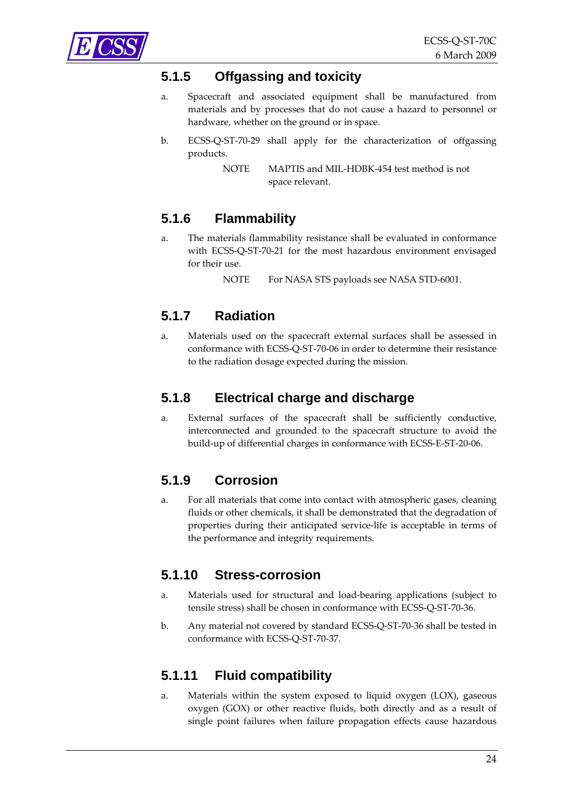<span id="page-23-0"></span>

### **5.1.5 Offgassing and toxicity**

- a. Spacecraft and associated equipment shall be manufactured from materials and by processes that do not cause a hazard to personnel or hardware, whether on the ground or in space.
- b. ECSS‐Q‐ST‐70‐29 shall apply for the characterization of offgassing products.

## **5.1.6 Flammability**

a. The materials flammability resistance shall be evaluated in conformance with ECSS‐Q‐ST‐70‐21 for the most hazardous environment envisaged for their use.

NOTE For NASA STS payloads see NASA STD-6001.

### **5.1.7 Radiation**

a. Materials used on the spacecraft external surfaces shall be assessed in conformance with ECSS‐Q‐ST‐70‐06 in order to determine their resistance to the radiation dosage expected during the mission.

#### **5.1.8 Electrical charge and discharge**

a. External surfaces of the spacecraft shall be sufficiently conductive, interconnected and grounded to the spacecraft structure to avoid the build‐up of differential charges in conformance with ECSS‐E‐ST‐20‐06.

#### **5.1.9 Corrosion**

a. For all materials that come into contact with atmospheric gases, cleaning fluids or other chemicals, it shall be demonstrated that the degradation of properties during their anticipated service-life is acceptable in terms of the performance and integrity requirements.

#### **5.1.10 Stress-corrosion**

- a. Materials used for structural and load‐bearing applications (subject to tensile stress) shall be chosen in conformance with ECSS‐Q‐ST‐70‐36.
- b. Any material not covered by standard ECSS‐Q‐ST‐70‐36 shall be tested in conformance with ECSS‐Q‐ST‐70‐37.

#### **5.1.11 Fluid compatibility**

a. Materials within the system exposed to liquid oxygen (LOX), gaseous oxygen (GOX) or other reactive fluids, both directly and as a result of single point failures when failure propagation effects cause hazardous

NOTE MAPTIS and MIL‐HDBK‐454 test method is not space relevant.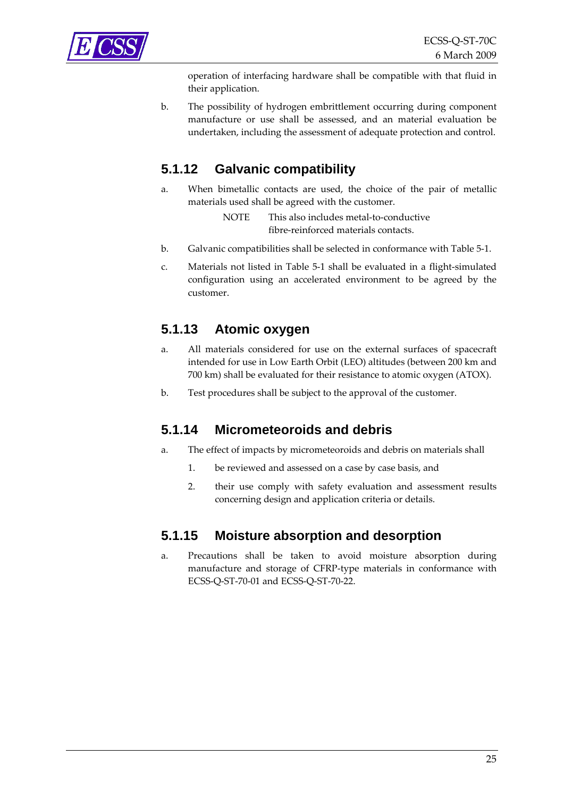<span id="page-24-0"></span>

operation of interfacing hardware shall be compatible with that fluid in their application.

b. The possibility of hydrogen embrittlement occurring during component manufacture or use shall be assessed, and an material evaluation be undertaken, including the assessment of adequate protection and control.

### **5.1.12 Galvanic compatibility**

a. When bimetallic contacts are used, the choice of the pair of metallic materials used shall be agreed with the customer.

> NOTE This also includes metal-to-conductive fibre-reinforced materials contacts.

- b. Galvanic compatibilities shall be selected in conformance with [Table](#page-25-0) 5‐1.
- c. Materials not listed in [Table](#page-25-0) 5‐1 shall be evaluated in a flight‐simulated configuration using an accelerated environment to be agreed by the customer.

#### **5.1.13 Atomic oxygen**

- a. All materials considered for use on the external surfaces of spacecraft intended for use in Low Earth Orbit (LEO) altitudes (between 200 km and 700 km) shall be evaluated for their resistance to atomic oxygen (ATOX).
- b. Test procedures shall be subject to the approval of the customer.

#### **5.1.14 Micrometeoroids and debris**

- a. The effect of impacts by micrometeoroids and debris on materials shall
	- 1. be reviewed and assessed on a case by case basis, and
	- 2. their use comply with safety evaluation and assessment results concerning design and application criteria or details.

#### **5.1.15 Moisture absorption and desorption**

a. Precautions shall be taken to avoid moisture absorption during manufacture and storage of CFRP‐type materials in conformance with ECSS‐Q‐ST‐70‐01 and ECSS‐Q‐ST‐70‐22.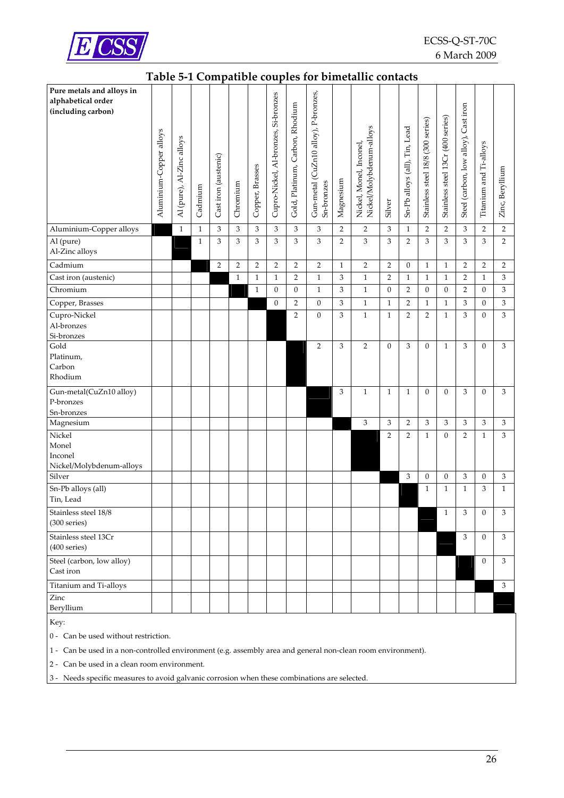<span id="page-25-0"></span>

#### **Table 5‐1 Compatible couples for bimetallic contacts**

| Pure metals and alloys in<br>alphabetical order<br>(including carbon) | Aluminium-Copper alloys | Al (pure), Al-Zinc alloys | Cadmium      | Cast iron (austenic) | Chromium       | Copper, Brasses | Cupro-Nickel, Al-bronzes, Si-bronzes | Gold, Platinum, Carbon, Rhodium | Gun-metal (CuZn10 alloy), P-bronzes,<br>Sn-bronzes | Magnesium      | Nickel/Molybdenum-alloys<br>Nickel, Monel, Inconel | Silver           | Sn-Pb alloys (all), Tin, Lead | Stainless steel 18/8 (300 series) | Stainless steel 13Cr (400 series) | Cast iron<br>Steel (carbon, low alloy), | Titanium and Ti-alloys | Zinc, Beryllium |
|-----------------------------------------------------------------------|-------------------------|---------------------------|--------------|----------------------|----------------|-----------------|--------------------------------------|---------------------------------|----------------------------------------------------|----------------|----------------------------------------------------|------------------|-------------------------------|-----------------------------------|-----------------------------------|-----------------------------------------|------------------------|-----------------|
| Aluminium-Copper alloys                                               |                         | $\mathbf{1}$              | $\mathbf{1}$ | 3                    | 3              | 3               | 3                                    | 3                               | 3                                                  | $\overline{2}$ | $\overline{2}$                                     | 3                | $\mathbf{1}$                  | $\overline{2}$                    | $\overline{2}$                    | 3                                       | $\sqrt{2}$             | $\sqrt{2}$      |
| Al (pure)<br>Al-Zinc alloys                                           |                         |                           | $\mathbf{1}$ | 3                    | 3              | 3               | 3                                    | 3                               | 3                                                  | $\overline{2}$ | 3                                                  | 3                | $\overline{2}$                | 3                                 | 3                                 | 3                                       | 3                      | $\overline{2}$  |
| Cadmium                                                               |                         |                           |              | 2                    | $\overline{2}$ | $\overline{2}$  | $\overline{2}$                       | $\overline{2}$                  | 2                                                  | $\mathbf{1}$   | 2                                                  | 2                | $\boldsymbol{0}$              | $\mathbf{1}$                      | $\mathbf{1}$                      | $\overline{2}$                          | $\overline{2}$         | 2               |
| Cast iron (austenic)                                                  |                         |                           |              |                      | $\mathbf{1}$   | $\mathbf{1}$    | $\mathbf{1}$                         | $\overline{2}$                  | $\mathbf{1}$                                       | 3              | $\mathbf{1}$                                       | $\overline{2}$   | $\mathbf{1}$                  | $\mathbf{1}$                      | $\mathbf{1}$                      | $\overline{2}$                          | $\mathbf{1}$           | $\,$ 3 $\,$     |
| Chromium                                                              |                         |                           |              |                      |                | $\mathbf{1}$    | $\boldsymbol{0}$                     | $\boldsymbol{0}$                | $\mathbf{1}$                                       | 3              | $\mathbf{1}$                                       | $\boldsymbol{0}$ | $\overline{2}$                | $\boldsymbol{0}$                  | $\boldsymbol{0}$                  | $\overline{2}$                          | $\mathbf{0}$           | $\,$ 3 $\,$     |
| Copper, Brasses                                                       |                         |                           |              |                      |                |                 | $\boldsymbol{0}$                     | 2                               | $\boldsymbol{0}$                                   | 3              | $\mathbf{1}$                                       | $\mathbf{1}$     | $\overline{2}$                | $\mathbf{1}$                      | $\mathbf{1}$                      | 3                                       | $\boldsymbol{0}$       | $\,$ 3 $\,$     |
| Cupro-Nickel<br>Al-bronzes<br>Si-bronzes                              |                         |                           |              |                      |                |                 |                                      | 2                               | $\boldsymbol{0}$                                   | 3              | $\mathbf{1}$                                       | $\mathbf{1}$     | $\overline{2}$                | 2                                 | $\mathbf{1}$                      | 3                                       | $\mathbf{0}$           | 3               |
| Gold<br>Platinum,<br>Carbon<br>Rhodium                                |                         |                           |              |                      |                |                 |                                      |                                 | 2                                                  | 3              | $\overline{2}$                                     | $\boldsymbol{0}$ | 3                             | $\mathbf{0}$                      | $\mathbf{1}$                      | 3                                       | $\mathbf{0}$           | 3               |
| Gun-metal(CuZn10 alloy)<br>P-bronzes<br>Sn-bronzes                    |                         |                           |              |                      |                |                 |                                      |                                 |                                                    | 3              | $\mathbf{1}$                                       | $\mathbf{1}$     | $\mathbf{1}$                  | $\mathbf{0}$                      | $\mathbf{0}$                      | 3                                       | $\mathbf{0}$           | 3               |
| Magnesium                                                             |                         |                           |              |                      |                |                 |                                      |                                 |                                                    |                | 3                                                  | 3                | $\overline{2}$                | 3                                 | 3                                 | 3                                       | 3                      | 3               |
| Nickel<br>Monel<br>Inconel<br>Nickel/Molybdenum-alloys                |                         |                           |              |                      |                |                 |                                      |                                 |                                                    |                |                                                    | $\overline{2}$   | $\overline{2}$                | $\mathbf{1}$                      | $\boldsymbol{0}$                  | $\overline{2}$                          | $\mathbf{1}$           | 3               |
| Silver                                                                |                         |                           |              |                      |                |                 |                                      |                                 |                                                    |                |                                                    |                  | 3                             | 0                                 | 0                                 | $\mathfrak 3$                           | $\boldsymbol{0}$       | 3               |
| Sn-Pb alloys (all)<br>Tin, Lead                                       |                         |                           |              |                      |                |                 |                                      |                                 |                                                    |                |                                                    |                  |                               | $\mathbf{1}$                      | 1                                 | $\mathbf{1}$                            | 3                      | $\mathbf{1}$    |
| Stainless steel 18/8<br>(300 series)                                  |                         |                           |              |                      |                |                 |                                      |                                 |                                                    |                |                                                    |                  |                               |                                   | 1                                 | 3                                       | $\boldsymbol{0}$       | 3               |
| Stainless steel 13Cr<br>(400 series)                                  |                         |                           |              |                      |                |                 |                                      |                                 |                                                    |                |                                                    |                  |                               |                                   |                                   | 3                                       | $\overline{0}$         | 3               |
| Steel (carbon, low alloy)<br>Cast iron                                |                         |                           |              |                      |                |                 |                                      |                                 |                                                    |                |                                                    |                  |                               |                                   |                                   |                                         | $\overline{0}$         | 3               |
| Titanium and Ti-alloys                                                |                         |                           |              |                      |                |                 |                                      |                                 |                                                    |                |                                                    |                  |                               |                                   |                                   |                                         |                        | 3               |
| Zinc<br>Beryllium                                                     |                         |                           |              |                      |                |                 |                                      |                                 |                                                    |                |                                                    |                  |                               |                                   |                                   |                                         |                        |                 |

Key:

0 - Can be used without restriction.

1 ‐ Can be used in a non‐controlled environment (e.g. assembly area and general non‐clean room environment).

2 ‐ Can be used in a clean room environment.

3 ‐ Needs specific measures to avoid galvanic corrosion when these combinations are selected.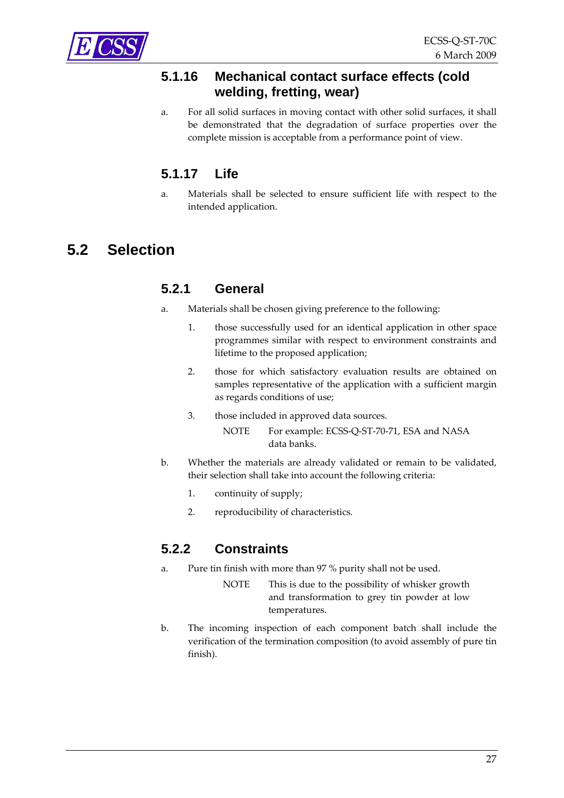<span id="page-26-0"></span>

#### **5.1.16 Mechanical contact surface effects (cold welding, fretting, wear)**

a. For all solid surfaces in moving contact with other solid surfaces, it shall be demonstrated that the degradation of surface properties over the complete mission is acceptable from a performance point of view.

## **5.1.17 Life**

a. Materials shall be selected to ensure sufficient life with respect to the intended application.

# **5.2 Selection**

#### **5.2.1 General**

- a. Materials shall be chosen giving preference to the following:
	- 1. those successfully used for an identical application in other space programmes similar with respect to environment constraints and lifetime to the proposed application;
	- 2. those for which satisfactory evaluation results are obtained on samples representative of the application with a sufficient margin as regards conditions of use;
	- 3. those included in approved data sources.
		- NOTE For example: ECSS-Q-ST-70-71, ESA and NASA data banks.
- b. Whether the materials are already validated or remain to be validated, their selection shall take into account the following criteria:
	- 1. continuity of supply;
	- 2. reproducibility of characteristics.

## **5.2.2 Constraints**

- a. Pure tin finish with more than 97 % purity shall not be used.
	- NOTE This is due to the possibility of whisker growth and transformation to grey tin powder at low temperatures.
- b. The incoming inspection of each component batch shall include the verification of the termination composition (to avoid assembly of pure tin finish).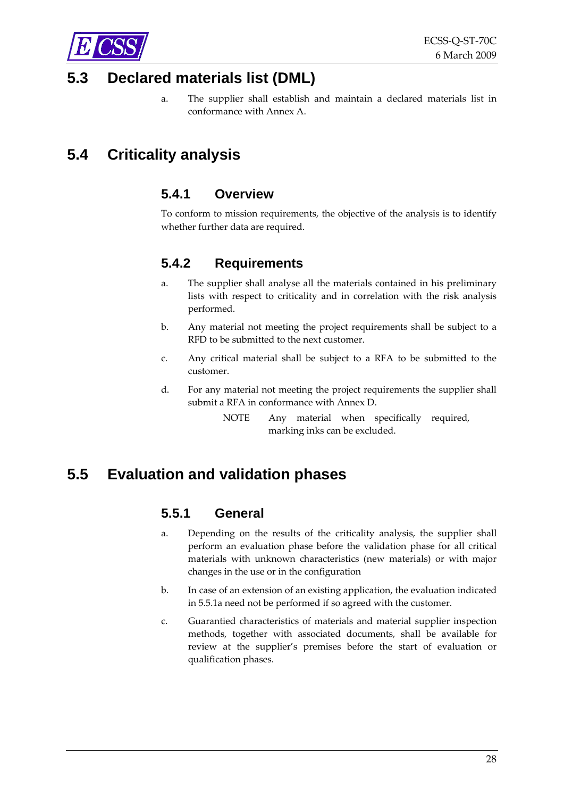<span id="page-27-0"></span>

## **5.3 Declared materials list (DML)**

a. The supplier shall establish and maintain a declared materials list in conformance with [Annex](#page-41-0) A.

# **5.4 Criticality analysis**

#### **5.4.1 Overview**

To conform to mission requirements, the objective of the analysis is to identify whether further data are required.

#### **5.4.2 Requirements**

- a. The supplier shall analyse all the materials contained in his preliminary lists with respect to criticality and in correlation with the risk analysis performed.
- b. Any material not meeting the project requirements shall be subject to a RFD to be submitted to the next customer.
- c. Any critical material shall be subject to a RFA to be submitted to the customer.
- d. For any material not meeting the project requirements the supplier shall submit a RFA in conformance with [Annex](#page-59-0) D.
	- NOTE Any material when specifically required, marking inks can be excluded.

## **5.5 Evaluation and validation phases**

#### **5.5.1 General**

- a. Depending on the results of the criticality analysis, the supplier shall perform an evaluation phase before the validation phase for all critical materials with unknown characteristics (new materials) or with major changes in the use or in the configuration
- b. In case of an extension of an existing application, the evaluation indicated in [5.5.1a](#page-27-0) need not be performed if so agreed with the customer.
- c. Guarantied characteristics of materials and material supplier inspection methods, together with associated documents, shall be available for review at the supplier's premises before the start of evaluation or qualification phases.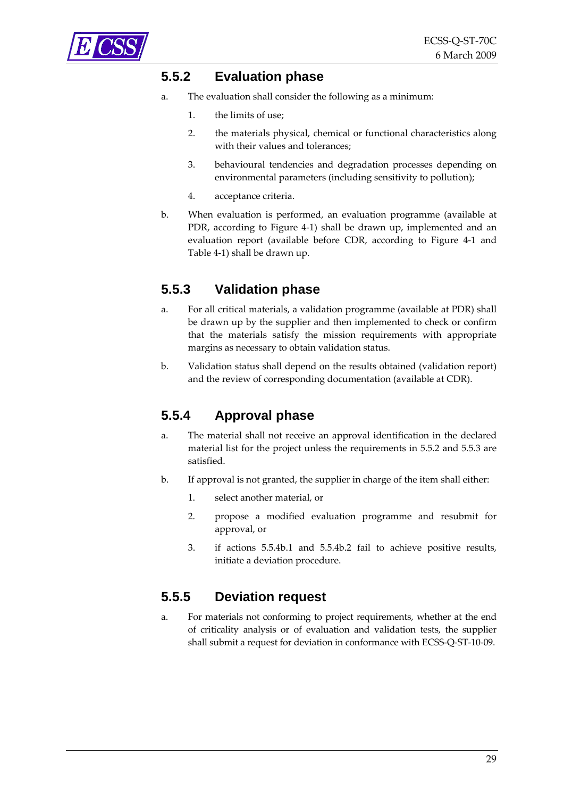<span id="page-28-0"></span>

### **5.5.2 Evaluation phase**

- a. The evaluation shall consider the following as a minimum:
	- 1. the limits of use;
	- 2. the materials physical, chemical or functional characteristics along with their values and tolerances;
	- 3. behavioural tendencies and degradation processes depending on environmental parameters (including sensitivity to pollution);
	- 4. acceptance criteria.
- b. When evaluation is performed, an evaluation programme (available at PDR, according to [Figure](#page-15-0) 4‐1) shall be drawn up, implemented and an evaluation report (available before CDR, according to [Figure](#page-15-0) 4‐1 and [Table](#page-17-0) 4‐1) shall be drawn up.

#### **5.5.3 Validation phase**

- a. For all critical materials, a validation programme (available at PDR) shall be drawn up by the supplier and then implemented to check or confirm that the materials satisfy the mission requirements with appropriate margins as necessary to obtain validation status.
- b. Validation status shall depend on the results obtained (validation report) and the review of corresponding documentation (available at CDR).

## **5.5.4 Approval phase**

- a. The material shall not receive an approval identification in the declared material list for the project unless the requirements in [5.5.2](#page-28-0) and [5.5.3](#page-28-0) are satisfied.
- b. If approval is not granted, the supplier in charge of the item shall either:
	- 1. select another material, or
	- 2. propose a modified evaluation programme and resubmit for approval, or
	- 3. if actions [5.5.4b.1](#page-28-0) and [5.5.4b.2](#page-28-0) fail to achieve positive results, initiate a deviation procedure.

#### **5.5.5 Deviation request**

a. For materials not conforming to project requirements, whether at the end of criticality analysis or of evaluation and validation tests, the supplier shall submit a request for deviation in conformance with ECSS‐Q‐ST‐10‐09.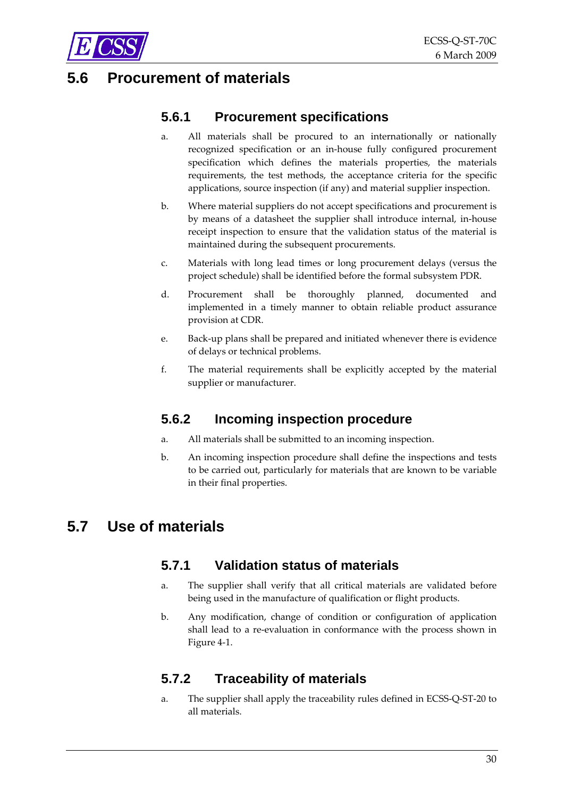<span id="page-29-0"></span>

## **5.6 Procurement of materials**

#### **5.6.1 Procurement specifications**

- a. All materials shall be procured to an internationally or nationally recognized specification or an in‐house fully configured procurement specification which defines the materials properties, the materials requirements, the test methods, the acceptance criteria for the specific applications, source inspection (if any) and material supplier inspection.
- b. Where material suppliers do not accept specifications and procurement is by means of a datasheet the supplier shall introduce internal, in‐house receipt inspection to ensure that the validation status of the material is maintained during the subsequent procurements.
- c. Materials with long lead times or long procurement delays (versus the project schedule) shall be identified before the formal subsystem PDR.
- d. Procurement shall be thoroughly planned, documented and implemented in a timely manner to obtain reliable product assurance provision at CDR.
- e. Back‐up plans shall be prepared and initiated whenever there is evidence of delays or technical problems.
- f. The material requirements shall be explicitly accepted by the material supplier or manufacturer.

## **5.6.2 Incoming inspection procedure**

- a. All materials shall be submitted to an incoming inspection.
- b. An incoming inspection procedure shall define the inspections and tests to be carried out, particularly for materials that are known to be variable in their final properties.

## **5.7 Use of materials**

#### **5.7.1 Validation status of materials**

- a. The supplier shall verify that all critical materials are validated before being used in the manufacture of qualification or flight products.
- b. Any modification, change of condition or configuration of application shall lead to a re‐evaluation in conformance with the process shown in [Figure](#page-15-0) 4‐1.

## **5.7.2 Traceability of materials**

a. The supplier shall apply the traceability rules defined in ECSS‐Q‐ST‐20 to all materials.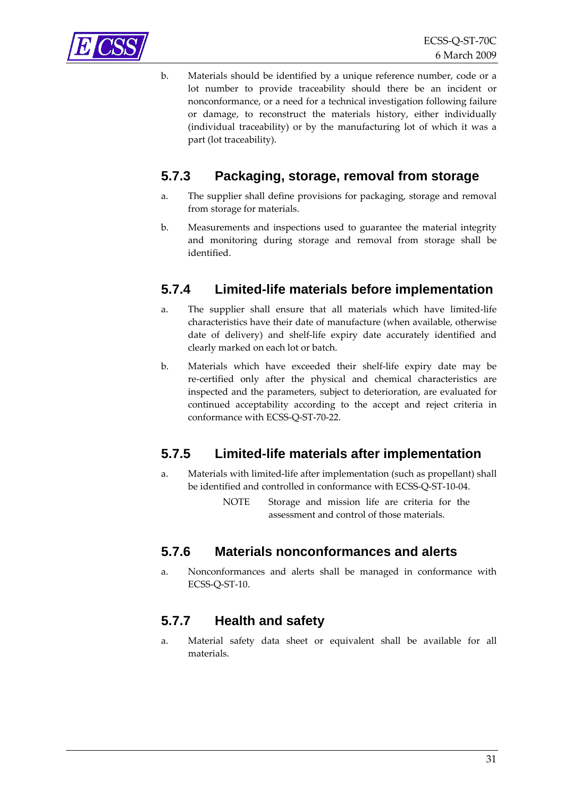<span id="page-30-0"></span>

b. Materials should be identified by a unique reference number, code or a lot number to provide traceability should there be an incident or nonconformance, or a need for a technical investigation following failure or damage, to reconstruct the materials history, either individually (individual traceability) or by the manufacturing lot of which it was a part (lot traceability).

### **5.7.3 Packaging, storage, removal from storage**

- a. The supplier shall define provisions for packaging, storage and removal from storage for materials.
- b. Measurements and inspections used to guarantee the material integrity and monitoring during storage and removal from storage shall be identified.

#### **5.7.4 Limited-life materials before implementation**

- a. The supplier shall ensure that all materials which have limited-life characteristics have their date of manufacture (when available, otherwise date of delivery) and shelf‐life expiry date accurately identified and clearly marked on each lot or batch.
- b. Materials which have exceeded their shelf‐life expiry date may be re‐certified only after the physical and chemical characteristics are inspected and the parameters, subject to deterioration, are evaluated for continued acceptability according to the accept and reject criteria in conformance with ECSS‐Q‐ST‐70‐22.

#### **5.7.5 Limited-life materials after implementation**

- a. Materials with limited‐life after implementation (such as propellant) shall be identified and controlled in conformance with ECSS‐Q‐ST‐10‐04.
	- NOTE Storage and mission life are criteria for the assessment and control of those materials.

#### **5.7.6 Materials nonconformances and alerts**

a. Nonconformances and alerts shall be managed in conformance with ECSS‐Q‐ST‐10.

#### **5.7.7 Health and safety**

a. Material safety data sheet or equivalent shall be available for all materials.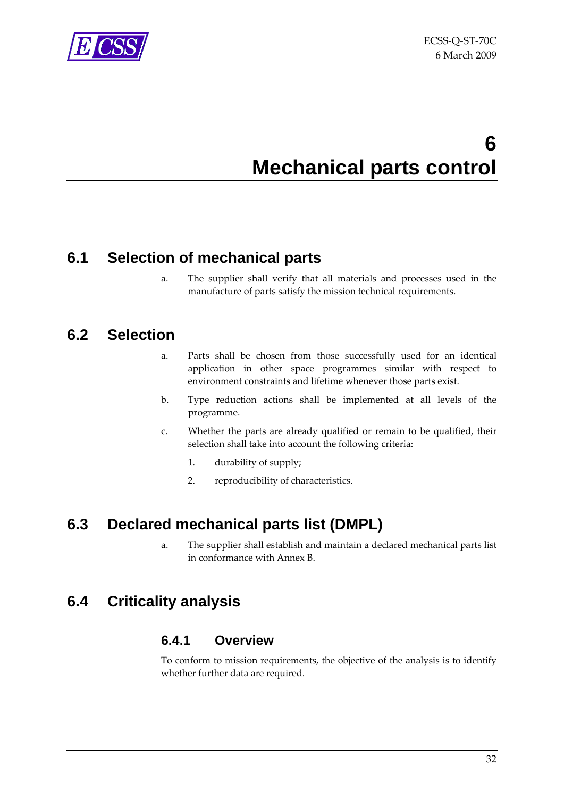<span id="page-31-0"></span>

# **6 Mechanical parts control**

## **6.1 Selection of mechanical parts**

a. The supplier shall verify that all materials and processes used in the manufacture of parts satisfy the mission technical requirements.

## **6.2 Selection**

- a. Parts shall be chosen from those successfully used for an identical application in other space programmes similar with respect to environment constraints and lifetime whenever those parts exist.
- b. Type reduction actions shall be implemented at all levels of the programme.
- c. Whether the parts are already qualified or remain to be qualified, their selection shall take into account the following criteria:
	- 1. durability of supply;
	- 2. reproducibility of characteristics.

# **6.3 Declared mechanical parts list (DMPL)**

a. The supplier shall establish and maintain a declared mechanical parts list in conformance with [Annex](#page-48-0) B.

## **6.4 Criticality analysis**

#### **6.4.1 Overview**

To conform to mission requirements, the objective of the analysis is to identify whether further data are required.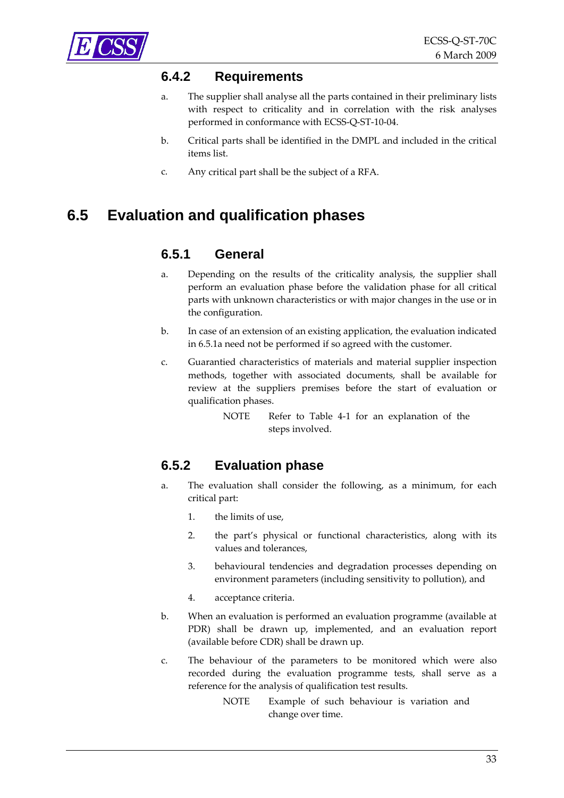## <span id="page-32-0"></span>**6.4.2 Requirements**

- a. The supplier shall analyse all the parts contained in their preliminary lists with respect to criticality and in correlation with the risk analyses performed in conformance with ECSS‐Q‐ST‐10‐04.
- b. Critical parts shall be identified in the DMPL and included in the critical items list.
- c. Any critical part shall be the subject of a RFA.

# **6.5 Evaluation and qualification phases**

#### **6.5.1 General**

- a. Depending on the results of the criticality analysis, the supplier shall perform an evaluation phase before the validation phase for all critical parts with unknown characteristics or with major changes in the use or in the configuration.
- b. In case of an extension of an existing application, the evaluation indicated in [6.5.1a](#page-32-0) need not be performed if so agreed with the customer.
- c. Guarantied characteristics of materials and material supplier inspection methods, together with associated documents, shall be available for review at the suppliers premises before the start of evaluation or qualification phases.
	- NOTE Refer to [Table](#page-17-0) 4‐1 for an explanation of the steps involved.

## **6.5.2 Evaluation phase**

- a. The evaluation shall consider the following, as a minimum, for each critical part:
	- 1. the limits of use,
	- 2. the part's physical or functional characteristics, along with its values and tolerances,
	- 3. behavioural tendencies and degradation processes depending on environment parameters (including sensitivity to pollution), and
	- 4. acceptance criteria.
- b. When an evaluation is performed an evaluation programme (available at PDR) shall be drawn up, implemented, and an evaluation report (available before CDR) shall be drawn up.
- c. The behaviour of the parameters to be monitored which were also recorded during the evaluation programme tests, shall serve as a reference for the analysis of qualification test results.
	- NOTE Example of such behaviour is variation and change over time.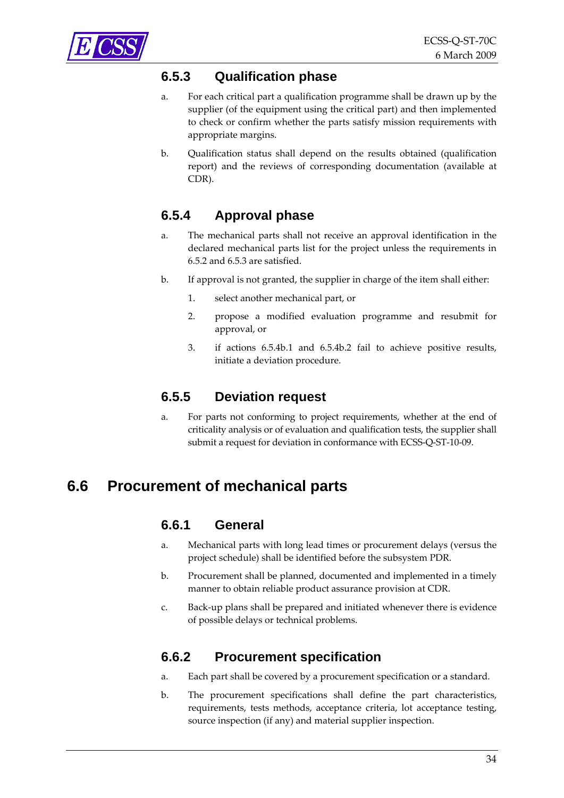<span id="page-33-0"></span>

### **6.5.3 Qualification phase**

- a. For each critical part a qualification programme shall be drawn up by the supplier (of the equipment using the critical part) and then implemented to check or confirm whether the parts satisfy mission requirements with appropriate margins.
- b. Qualification status shall depend on the results obtained (qualification report) and the reviews of corresponding documentation (available at CDR).

## **6.5.4 Approval phase**

- a. The mechanical parts shall not receive an approval identification in the declared mechanical parts list for the project unless the requirements in [6.5.2](#page-32-0) and [6.5.3](#page-33-0) are satisfied.
- b. If approval is not granted, the supplier in charge of the item shall either:
	- 1. select another mechanical part, or
	- 2. propose a modified evaluation programme and resubmit for approval, or
	- 3. if actions [6.5.4b.1](#page-33-0) and [6.5.4b.2](#page-33-0) fail to achieve positive results, initiate a deviation procedure.

#### **6.5.5 Deviation request**

a. For parts not conforming to project requirements, whether at the end of criticality analysis or of evaluation and qualification tests, the supplier shall submit a request for deviation in conformance with ECSS‐Q‐ST‐10‐09.

## **6.6 Procurement of mechanical parts**

#### **6.6.1 General**

- a. Mechanical parts with long lead times or procurement delays (versus the project schedule) shall be identified before the subsystem PDR.
- b. Procurement shall be planned, documented and implemented in a timely manner to obtain reliable product assurance provision at CDR.
- c. Back‐up plans shall be prepared and initiated whenever there is evidence of possible delays or technical problems.

#### **6.6.2 Procurement specification**

- a. Each part shall be covered by a procurement specification or a standard.
- b. The procurement specifications shall define the part characteristics, requirements, tests methods, acceptance criteria, lot acceptance testing, source inspection (if any) and material supplier inspection.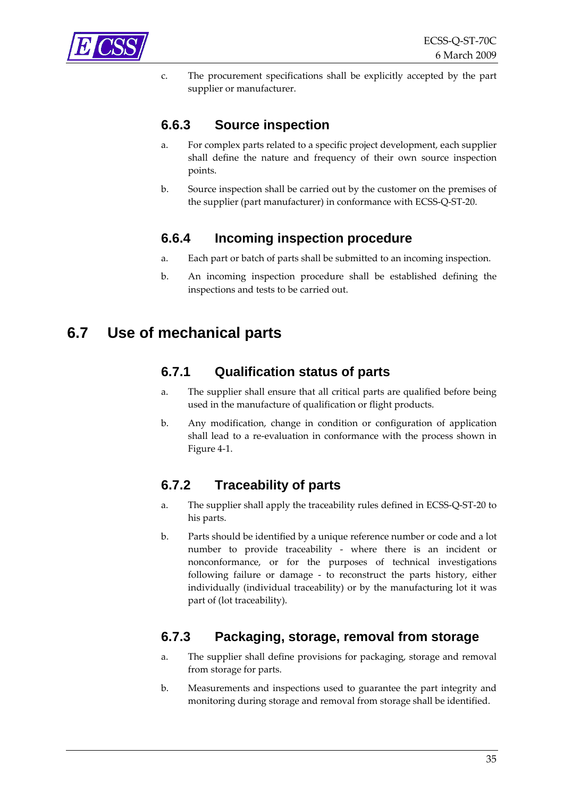<span id="page-34-0"></span>

c. The procurement specifications shall be explicitly accepted by the part supplier or manufacturer.

### **6.6.3 Source inspection**

- a. For complex parts related to a specific project development, each supplier shall define the nature and frequency of their own source inspection points.
- b. Source inspection shall be carried out by the customer on the premises of the supplier (part manufacturer) in conformance with ECSS‐Q‐ST‐20.

#### **6.6.4 Incoming inspection procedure**

- a. Each part or batch of parts shall be submitted to an incoming inspection.
- b. An incoming inspection procedure shall be established defining the inspections and tests to be carried out.

## **6.7 Use of mechanical parts**

#### **6.7.1 Qualification status of parts**

- a. The supplier shall ensure that all critical parts are qualified before being used in the manufacture of qualification or flight products.
- b. Any modification, change in condition or configuration of application shall lead to a re‐evaluation in conformance with the process shown in [Figure](#page-15-0) 4‐1.

## **6.7.2 Traceability of parts**

- a. The supplier shall apply the traceability rules defined in ECSS‐Q‐ST‐20 to his parts.
- b. Parts should be identified by a unique reference number or code and a lot number to provide traceability - where there is an incident or nonconformance, or for the purposes of technical investigations following failure or damage - to reconstruct the parts history, either individually (individual traceability) or by the manufacturing lot it was part of (lot traceability).

#### **6.7.3 Packaging, storage, removal from storage**

- a. The supplier shall define provisions for packaging, storage and removal from storage for parts.
- b. Measurements and inspections used to guarantee the part integrity and monitoring during storage and removal from storage shall be identified.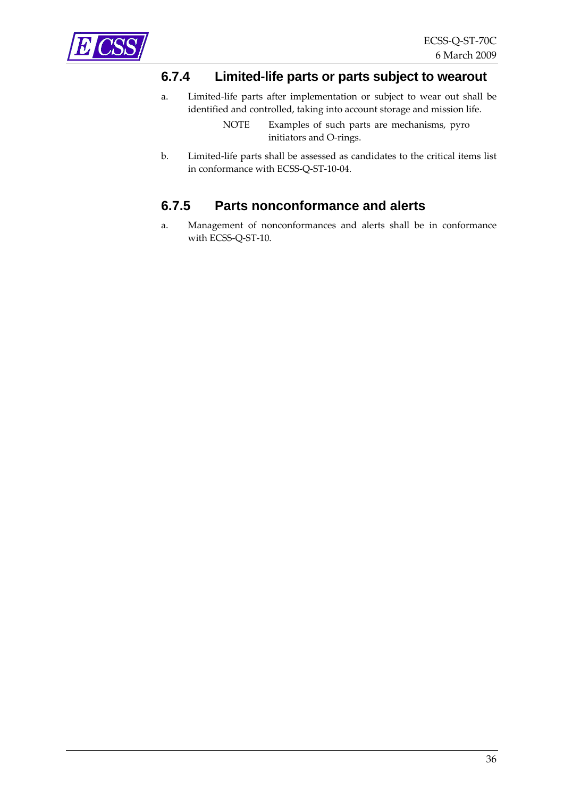<span id="page-35-0"></span>

#### **6.7.4 Limited-life parts or parts subject to wearout**

a. Limited‐life parts after implementation or subject to wear out shall be identified and controlled, taking into account storage and mission life.

> NOTE Examples of such parts are mechanisms, pyro initiators and O‐rings.

b. Limited‐life parts shall be assessed as candidates to the critical items list in conformance with ECSS‐Q‐ST‐10‐04.

### **6.7.5 Parts nonconformance and alerts**

a. Management of nonconformances and alerts shall be in conformance with ECSS-Q-ST-10.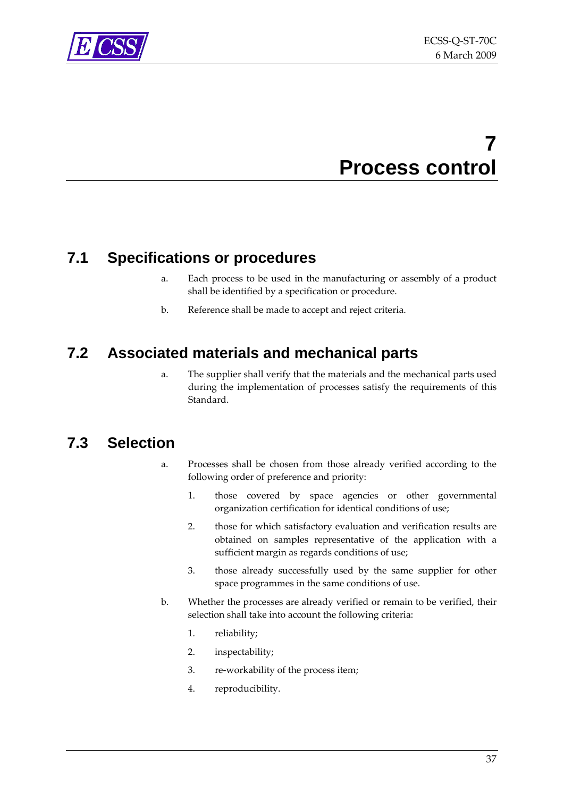<span id="page-36-0"></span>

# **7 Process control**

## **7.1 Specifications or procedures**

- a. Each process to be used in the manufacturing or assembly of a product shall be identified by a specification or procedure.
- b. Reference shall be made to accept and reject criteria.

## **7.2 Associated materials and mechanical parts**

a. The supplier shall verify that the materials and the mechanical parts used during the implementation of processes satisfy the requirements of this Standard.

## **7.3 Selection**

- a. Processes shall be chosen from those already verified according to the following order of preference and priority:
	- 1. those covered by space agencies or other governmental organization certification for identical conditions of use;
	- 2. those for which satisfactory evaluation and verification results are obtained on samples representative of the application with a sufficient margin as regards conditions of use;
	- 3. those already successfully used by the same supplier for other space programmes in the same conditions of use.
- b. Whether the processes are already verified or remain to be verified, their selection shall take into account the following criteria:
	- 1. reliability;
	- 2. inspectability;
	- 3. re‐workability of the process item;
	- 4. reproducibility.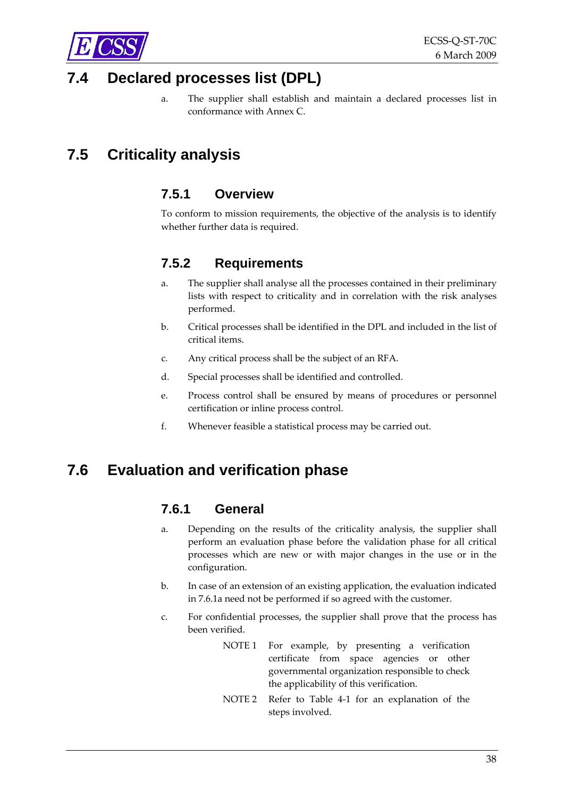<span id="page-37-0"></span>

## **7.4 Declared processes list (DPL)**

a. The supplier shall establish and maintain a declared processes list in conformance with [Annex](#page-54-0) C.

# **7.5 Criticality analysis**

#### **7.5.1 Overview**

To conform to mission requirements, the objective of the analysis is to identify whether further data is required.

#### **7.5.2 Requirements**

- a. The supplier shall analyse all the processes contained in their preliminary lists with respect to criticality and in correlation with the risk analyses performed.
- b. Critical processes shall be identified in the DPL and included in the list of critical items.
- c. Any critical process shall be the subject of an RFA.
- d. Special processes shall be identified and controlled.
- e. Process control shall be ensured by means of procedures or personnel certification or inline process control.
- f. Whenever feasible a statistical process may be carried out.

## **7.6 Evaluation and verification phase**

#### **7.6.1 General**

- a. Depending on the results of the criticality analysis, the supplier shall perform an evaluation phase before the validation phase for all critical processes which are new or with major changes in the use or in the configuration.
- b. In case of an extension of an existing application, the evaluation indicated in [7.6.1a](#page-37-0) need not be performed if so agreed with the customer.
- c. For confidential processes, the supplier shall prove that the process has been verified.
	- NOTE 1 For example, by presenting a verification certificate from space agencies or other governmental organization responsible to check the applicability of this verification.
	- NOTE 2 Refer to [Table](#page-17-0) 4‐1 for an explanation of the steps involved.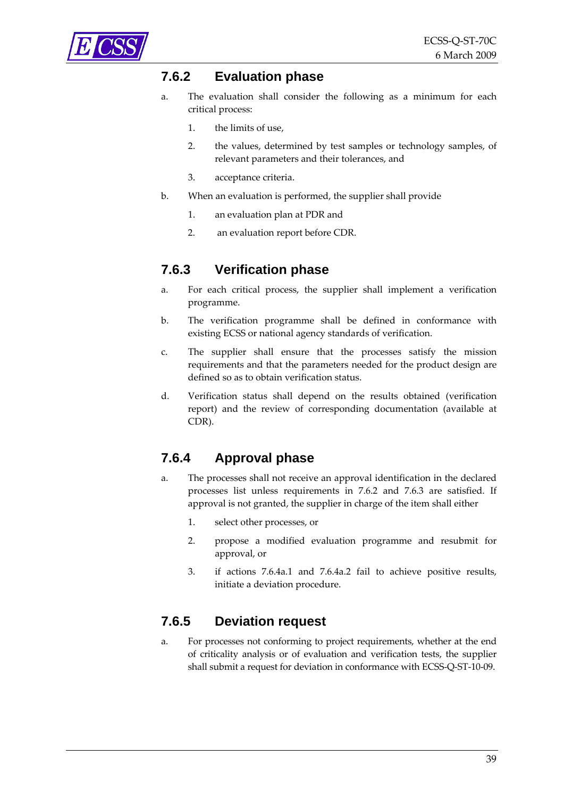<span id="page-38-0"></span>

#### **7.6.2 Evaluation phase**

- a. The evaluation shall consider the following as a minimum for each critical process:
	- 1. the limits of use,
	- 2. the values, determined by test samples or technology samples, of relevant parameters and their tolerances, and
	- 3. acceptance criteria.
- b. When an evaluation is performed, the supplier shall provide
	- 1. an evaluation plan at PDR and
	- 2. an evaluation report before CDR.

#### **7.6.3 Verification phase**

- a. For each critical process, the supplier shall implement a verification programme.
- b. The verification programme shall be defined in conformance with existing ECSS or national agency standards of verification.
- c. The supplier shall ensure that the processes satisfy the mission requirements and that the parameters needed for the product design are defined so as to obtain verification status.
- d. Verification status shall depend on the results obtained (verification report) and the review of corresponding documentation (available at CDR).

#### **7.6.4 Approval phase**

- a. The processes shall not receive an approval identification in the declared processes list unless requirements in [7.6.2](#page-38-0) and [7.6.3](#page-38-0) are satisfied. If approval is not granted, the supplier in charge of the item shall either
	- 1. select other processes, or
	- 2. propose a modified evaluation programme and resubmit for approval, or
	- 3. if actions [7.6.4a.1](#page-38-0) and [7.6.4a.2](#page-38-0) fail to achieve positive results, initiate a deviation procedure.

#### **7.6.5 Deviation request**

a. For processes not conforming to project requirements, whether at the end of criticality analysis or of evaluation and verification tests, the supplier shall submit a request for deviation in conformance with ECSS‐Q‐ST‐10‐09.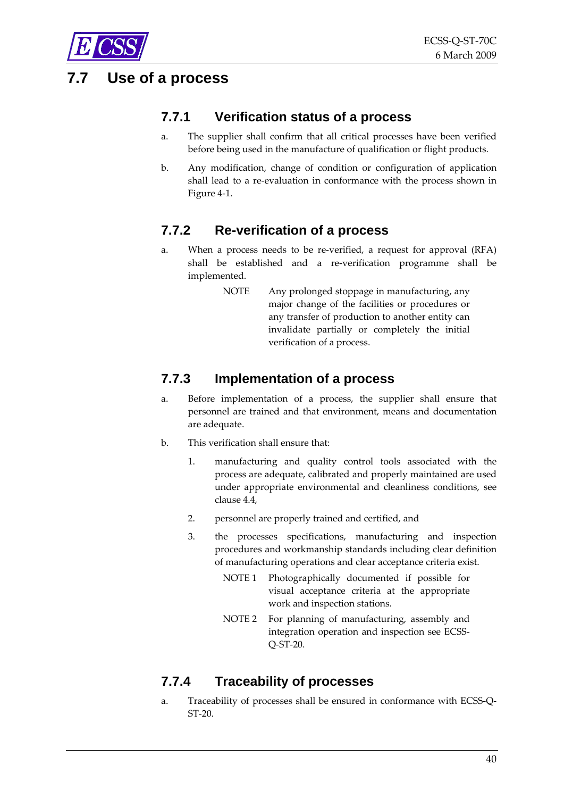## <span id="page-39-0"></span>**7.7 Use of a process**

### **7.7.1 Verification status of a process**

- a. The supplier shall confirm that all critical processes have been verified before being used in the manufacture of qualification or flight products.
- b. Any modification, change of condition or configuration of application shall lead to a re‐evaluation in conformance with the process shown in [Figure](#page-15-0) 4‐1.

## **7.7.2 Re-verification of a process**

- a. When a process needs to be re‐verified, a request for approval (RFA) shall be established and a re‐verification programme shall be implemented.
	- NOTE Any prolonged stoppage in manufacturing, any major change of the facilities or procedures or any transfer of production to another entity can invalidate partially or completely the initial verification of a process.

### **7.7.3 Implementation of a process**

- a. Before implementation of a process, the supplier shall ensure that personnel are trained and that environment, means and documentation are adequate.
- b. This verification shall ensure that:
	- 1. manufacturing and quality control tools associated with the process are adequate, calibrated and properly maintained are used under appropriate environmental and cleanliness conditions, see clause [4.4](#page-20-0),
	- 2. personnel are properly trained and certified, and
	- 3. the processes specifications, manufacturing and inspection procedures and workmanship standards including clear definition of manufacturing operations and clear acceptance criteria exist.
		- NOTE 1 Photographically documented if possible for visual acceptance criteria at the appropriate work and inspection stations.
		- NOTE 2 For planning of manufacturing, assembly and integration operation and inspection see ECSS‐ Q‐ST‐20.

## **7.7.4 Traceability of processes**

a. Traceability of processes shall be ensured in conformance with ECSS‐Q‐ ST‐20.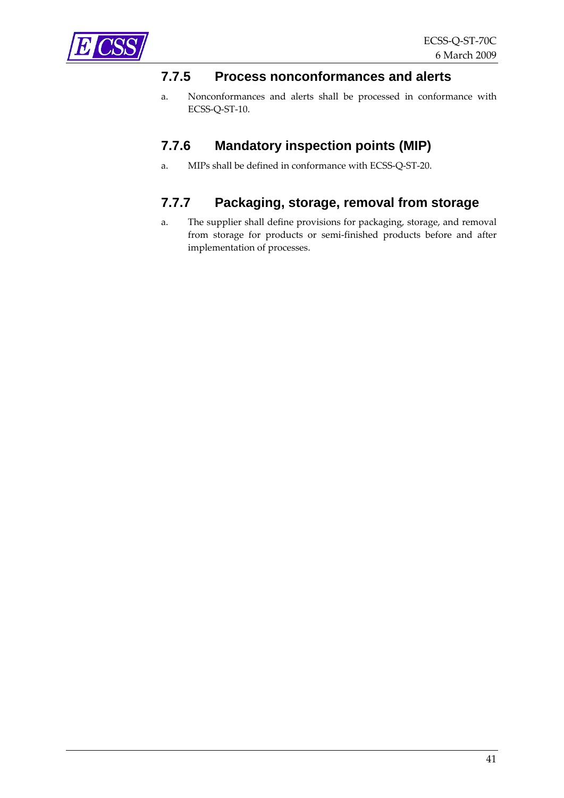<span id="page-40-0"></span>

#### **7.7.5 Process nonconformances and alerts**

a. Nonconformances and alerts shall be processed in conformance with ECSS‐Q‐ST‐10.

#### **7.7.6 Mandatory inspection points (MIP)**

a. MIPs shall be defined in conformance with ECSS‐Q‐ST‐20.

## **7.7.7 Packaging, storage, removal from storage**

a. The supplier shall define provisions for packaging, storage, and removal from storage for products or semi‐finished products before and after implementation of processes.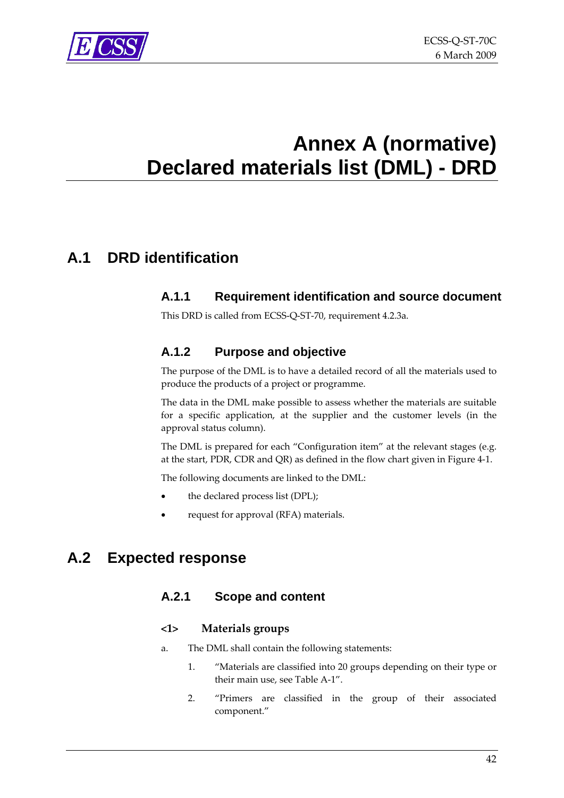<span id="page-41-0"></span>

# <span id="page-41-1"></span>**Annex A (normative) Declared materials list (DML) - DRD**

# **A.1 DRD identification**

#### **A.1.1 Requirement identification and source document**

This DRD is called from ECSS‐Q‐ST‐70, requirement [4.2.3a.](#page-19-0)

#### **A.1.2 Purpose and objective**

The purpose of the DML is to have a detailed record of all the materials used to produce the products of a project or programme.

The data in the DML make possible to assess whether the materials are suitable for a specific application, at the supplier and the customer levels (in the approval status column).

The DML is prepared for each "Configuration item" at the relevant stages (e.g. at the start, PDR, CDR and QR) as defined in the flow chart given in [Figure](#page-15-0) 4‐1.

The following documents are linked to the DML:

- the declared process list (DPL);
- request for approval (RFA) materials.

## **A.2 Expected response**

#### **A.2.1 Scope and content**

#### **<1> Materials groups**

- a. The DML shall contain the following statements:
	- 1. "Materials are classified into 20 groups depending on their type or their main use, see [Table](#page-42-0) A‐1".
	- 2. "Primers are classified in the group of their associated component."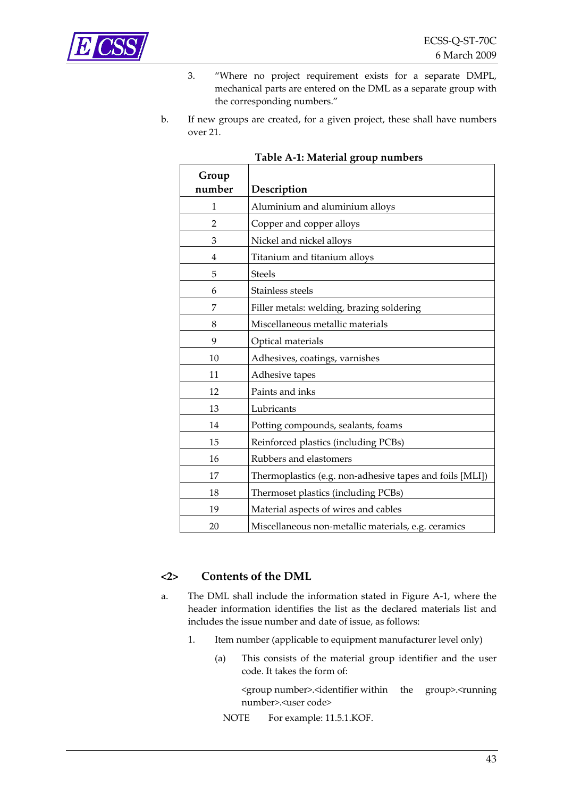<span id="page-42-0"></span>

- 3. "Where no project requirement exists for a separate DMPL, mechanical parts are entered on the DML as a separate group with the corresponding numbers."
- b. If new groups are created, for a given project, these shall have numbers over 21.

| Group<br>number | Description                                              |
|-----------------|----------------------------------------------------------|
| 1               | Aluminium and aluminium alloys                           |
| 2               | Copper and copper alloys                                 |
| 3               | Nickel and nickel alloys                                 |
| 4               | Titanium and titanium alloys                             |
| 5               | <b>Steels</b>                                            |
| 6               | Stainless steels                                         |
| 7               | Filler metals: welding, brazing soldering                |
| 8               | Miscellaneous metallic materials                         |
| 9               | Optical materials                                        |
| 10              | Adhesives, coatings, varnishes                           |
| 11              | Adhesive tapes                                           |
| 12              | Paints and inks                                          |
| 13              | Lubricants                                               |
| 14              | Potting compounds, sealants, foams                       |
| 15              | Reinforced plastics (including PCBs)                     |
| 16              | Rubbers and elastomers                                   |
| 17              | Thermoplastics (e.g. non-adhesive tapes and foils [MLI]) |
| 18              | Thermoset plastics (including PCBs)                      |
| 19              | Material aspects of wires and cables                     |
| 20              | Miscellaneous non-metallic materials, e.g. ceramics      |

#### **Table A‐1: Material group numbers**

#### **<2> Contents of the DML**

- a. The DML shall include the information stated in [Figure](#page-47-0) A‐1, where the header information identifies the list as the declared materials list and includes the issue number and date of issue, as follows:
	- 1. Item number (applicable to equipment manufacturer level only)
		- (a) This consists of the material group identifier and the user code. It takes the form of:

<group number>.<identifier within the group>.<running number>.<user code>

NOTE For example: 11.5.1.KOF.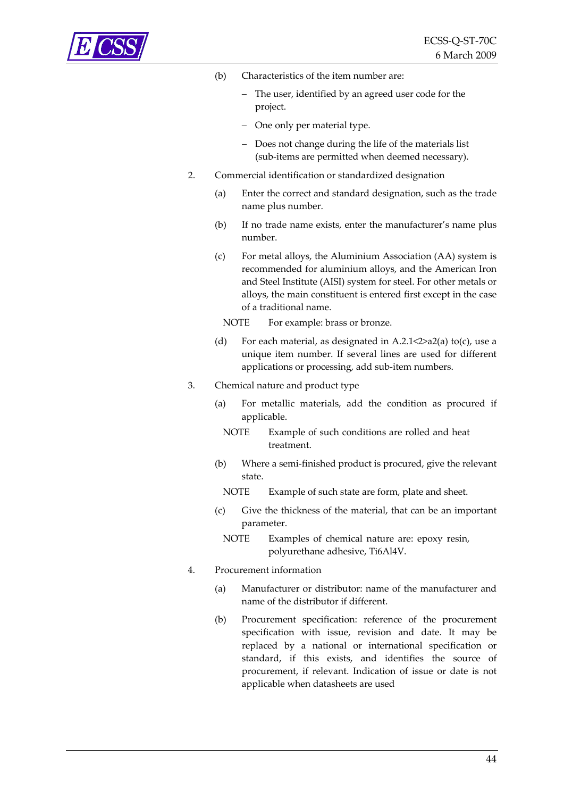<span id="page-43-0"></span>

- (b) Characteristics of the item number are:
	- The user, identified by an agreed user code for the project.
	- − One only per material type.
	- − Does not change during the life of the materials list (sub‐items are permitted when deemed necessary).
- 2. Commercial identification or standardized designation
	- (a) Enter the correct and standard designation, such as the trade name plus number.
	- (b) If no trade name exists, enter the manufacturer's name plus number.
	- (c) For metal alloys, the Aluminium Association (AA) system is recommended for aluminium alloys, and the American Iron and Steel Institute (AISI) system for steel. For other metals or alloys, the main constituent is entered first except in the case of a traditional name.
		- NOTE For example: brass or bronze.
	- (d) For each material, as designated in [A.2.1](#page-41-0) <  $2$ >>> $a$ [2\(a\)](#page-43-0) to[\(c\)](#page-43-0), use a unique item number. If several lines are used for different applications or processing, add sub‐item numbers.

#### 3. Chemical nature and product type

- (a) For metallic materials, add the condition as procured if applicable.
	- NOTE Example of such conditions are rolled and heat treatment.
- (b) Where a semi‐finished product is procured, give the relevant state.
	- NOTE Example of such state are form, plate and sheet.
- (c) Give the thickness of the material, that can be an important parameter.
	- NOTE Examples of chemical nature are: epoxy resin, polyurethane adhesive, Ti6Al4V.

#### 4. Procurement information

- (a) Manufacturer or distributor: name of the manufacturer and name of the distributor if different.
- (b) Procurement specification: reference of the procurement specification with issue, revision and date. It may be replaced by a national or international specification or standard, if this exists, and identifies the source of procurement, if relevant. Indication of issue or date is not applicable when datasheets are used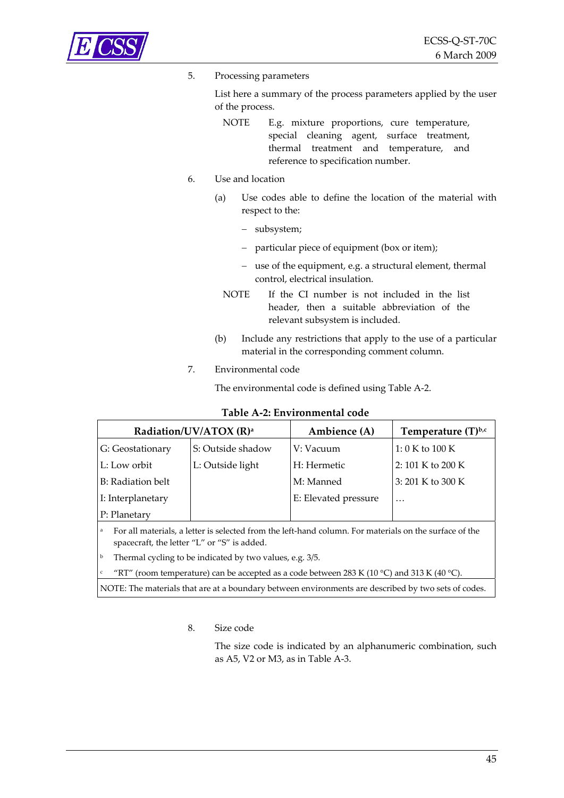<span id="page-44-0"></span>

c

#### 5. Processing parameters

List here a summary of the process parameters applied by the user of the process.

NOTE E.g. mixture proportions, cure temperature, special cleaning agent, surface treatment, thermal treatment and temperature, and reference to specification number.

#### 6. Use and location

- (a) Use codes able to define the location of the material with respect to the:
	- − subsystem;
	- − particular piece of equipment (box or item);
	- − use of the equipment, e.g. a structural element, thermal control, electrical insulation.
	- NOTE If the CI number is not included in the list header, then a suitable abbreviation of the relevant subsystem is included.
- (b) Include any restrictions that apply to the use of a particular material in the corresponding comment column.

#### 7. Environmental code

The environmental code is defined using [Table](#page-44-0) A‐2.

|                   | Radiation/UV/ATOX (R) <sup>a</sup>          | Ambience (A)                                                                                           | Temperature $(T)^{b,c}$ |
|-------------------|---------------------------------------------|--------------------------------------------------------------------------------------------------------|-------------------------|
| G: Geostationary  | S: Outside shadow                           | V: Vacuum                                                                                              | 1:0 K to 100 K          |
| L: Low orbit      | L: Outside light                            | H: Hermetic                                                                                            | 2: 101 K to 200 K       |
| B: Radiation belt |                                             | M: Manned                                                                                              | 3: 201 K to 300 K       |
| I: Interplanetary |                                             | E: Elevated pressure                                                                                   | $\ddotsc$               |
| P: Planetary      |                                             |                                                                                                        |                         |
| a                 | spacecraft, the letter "L" or "S" is added. | For all materials, a letter is selected from the left-hand column. For materials on the surface of the |                         |

**Table A‐2: Environmental code**

Thermal cycling to be indicated by two values, e.g. 3/5.

"RT" (room temperature) can be accepted as a code between 283 K (10 °C) and 313 K (40 °C).

NOTE: The materials that are at a boundary between environments are described by two sets of codes.

#### 8. Size code

The size code is indicated by an alphanumeric combination, such as A5, V2 or M3, as in [Table](#page-45-0) A‐3.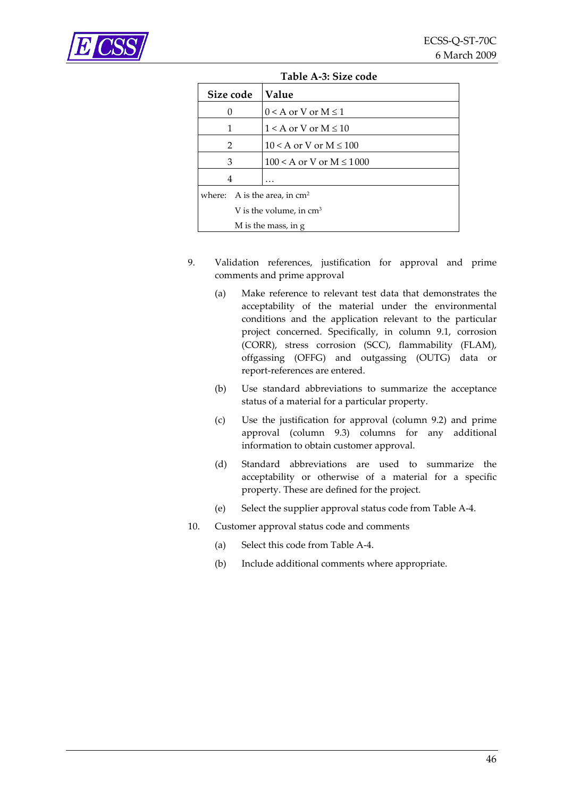<span id="page-45-0"></span>

| TUDIC II DI DILC COUC |                           |                                |  |  |  |  |  |
|-----------------------|---------------------------|--------------------------------|--|--|--|--|--|
| Size code             |                           | Value                          |  |  |  |  |  |
| 0                     |                           | $0 < A$ or V or $M \leq 1$     |  |  |  |  |  |
| 1                     |                           | $1 < A$ or V or M $\leq 10$    |  |  |  |  |  |
| 2                     |                           | $10 < A$ or V or M $\leq 100$  |  |  |  |  |  |
| 3                     |                           | $100 < A$ or V or M $\le 1000$ |  |  |  |  |  |
| 4                     |                           |                                |  |  |  |  |  |
|                       |                           | where: A is the area, in $cm2$ |  |  |  |  |  |
|                       | V is the volume, in $cm3$ |                                |  |  |  |  |  |
|                       |                           | M is the mass, in g            |  |  |  |  |  |

**Table A‐3: Size code**

- 9. Validation references, justification for approval and prime comments and prime approval
	- (a) Make reference to relevant test data that demonstrates the acceptability of the material under the environmental conditions and the application relevant to the particular project concerned. Specifically, in column 9.1, corrosion (CORR), stress corrosion (SCC), flammability (FLAM), offgassing (OFFG) and outgassing (OUTG) data or report‐references are entered.
	- (b) Use standard abbreviations to summarize the acceptance status of a material for a particular property.
	- (c) Use the justification for approval (column 9.2) and prime approval (column 9.3) columns for any additional information to obtain customer approval.
	- (d) Standard abbreviations are used to summarize the acceptability or otherwise of a material for a specific property. These are defined for the project.
	- (e) Select the supplier approval status code from [Table](#page-46-0) A‐4.
- 10. Customer approval status code and comments
	- (a) Select this code from [Table](#page-46-0) A‐4.
	- (b) Include additional comments where appropriate.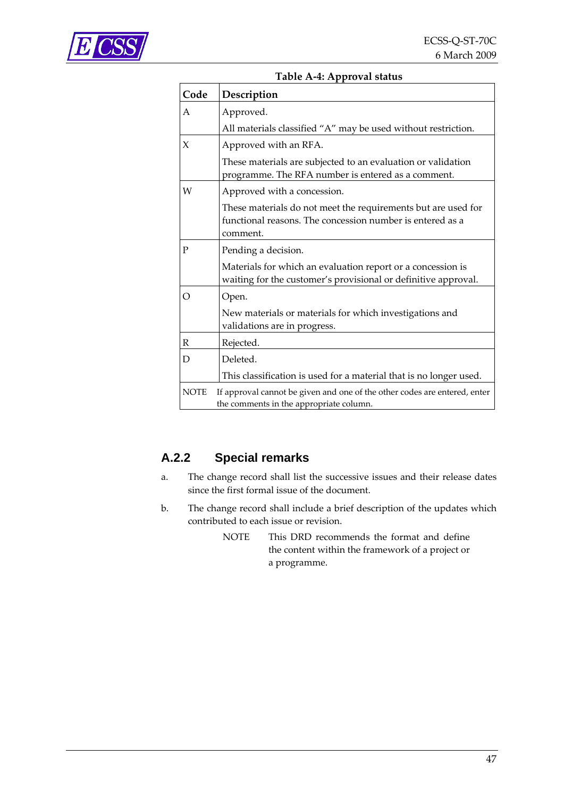<span id="page-46-0"></span>

| Code        | Table A-4: Approval status<br>Description                                                                                                                                                                    |
|-------------|--------------------------------------------------------------------------------------------------------------------------------------------------------------------------------------------------------------|
| A           | Approved.                                                                                                                                                                                                    |
| X           | All materials classified "A" may be used without restriction.<br>Approved with an RFA.<br>These materials are subjected to an evaluation or validation<br>programme. The RFA number is entered as a comment. |
| W           | Approved with a concession.<br>These materials do not meet the requirements but are used for<br>functional reasons. The concession number is entered as a<br>comment.                                        |
| P           | Pending a decision.<br>Materials for which an evaluation report or a concession is<br>waiting for the customer's provisional or definitive approval.                                                         |
| O           | Open.<br>New materials or materials for which investigations and<br>validations are in progress.                                                                                                             |
| R           | Rejected.                                                                                                                                                                                                    |
| D           | Deleted.<br>This classification is used for a material that is no longer used.                                                                                                                               |
| <b>NOTE</b> | If approval cannot be given and one of the other codes are entered, enter<br>the comments in the appropriate column.                                                                                         |

## **A.2.2 Special remarks**

- a. The change record shall list the successive issues and their release dates since the first formal issue of the document.
- b. The change record shall include a brief description of the updates which contributed to each issue or revision.
	- NOTE This DRD recommends the format and define the content within the framework of a project or a programme.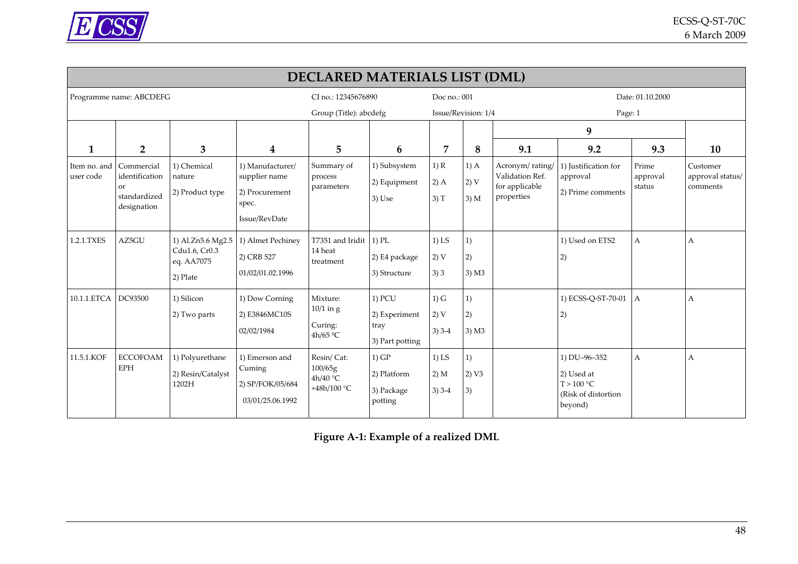

|                           | DECLARED MATERIALS LIST (DML)                                     |                                                              |                                                                               |                                                  |                                                      |                             |                        |                                                                    |                                                                             |                             |                                          |  |
|---------------------------|-------------------------------------------------------------------|--------------------------------------------------------------|-------------------------------------------------------------------------------|--------------------------------------------------|------------------------------------------------------|-----------------------------|------------------------|--------------------------------------------------------------------|-----------------------------------------------------------------------------|-----------------------------|------------------------------------------|--|
|                           | Programme name: ABCDEFG                                           |                                                              |                                                                               | CI no.: 12345676890                              |                                                      | Doc no.: 001                |                        |                                                                    | Date: 01.10.2000                                                            |                             |                                          |  |
|                           |                                                                   |                                                              |                                                                               | Group (Title): abcdefg                           |                                                      | Issue/Revision: 1/4         |                        | Page: 1                                                            |                                                                             |                             |                                          |  |
|                           |                                                                   |                                                              |                                                                               |                                                  |                                                      |                             |                        |                                                                    | 9                                                                           |                             |                                          |  |
| 1                         | $\overline{2}$                                                    | 3                                                            | 4                                                                             | 5                                                | 6                                                    | $\overline{7}$              | 8                      | 9.1                                                                | 9.2                                                                         | 9.3                         | 10                                       |  |
| Item no. and<br>user code | Commercial<br>identification<br>or<br>standardized<br>designation | 1) Chemical<br>nature<br>2) Product type                     | 1) Manufacturer/<br>supplier name<br>2) Procurement<br>spec.<br>Issue/RevDate | Summary of<br>process<br>parameters              | 1) Subsystem<br>2) Equipment<br>3) Use               | 1) R<br>$2)$ A<br>3) T      | $1)$ A<br>2)V<br>3) M  | Acronym/rating/<br>Validation Ref.<br>for applicable<br>properties | 1) Justification for<br>approval<br>2) Prime comments                       | Prime<br>approval<br>status | Customer<br>approval status/<br>comments |  |
| 1.2.1.TXES                | AZ5GU                                                             | 1) Al.Zn5.6 Mg2.5<br>Cdu1.6, Cr0.3<br>eq. AA7075<br>2) Plate | 1) Almet Pechiney<br>2) CRB 527<br>01/02/01.02.1996                           | T7351 and Iridit<br>14 heat<br>treatment         | $1)$ PL<br>2) E4 package<br>3) Structure             | $1)$ LS<br>2)V<br>3)3       | 1)<br>2)<br>$3)$ M $3$ |                                                                    | 1) Used on ETS2<br>2)                                                       | A                           | A                                        |  |
| 10.1.1.ETCA               | DC93500                                                           | 1) Silicon<br>2) Two parts                                   | 1) Dow Corning<br>2) E3846MC10S<br>02/02/1984                                 | Mixture:<br>$10/1$ in g<br>Curing:<br>4h/65 $°C$ | $1)$ PCU<br>2) Experiment<br>tray<br>3) Part potting | $1)$ G<br>2) V<br>$3)$ 3-4  | 1)<br>2)<br>$3)$ M $3$ |                                                                    | 1) ECSS-Q-ST-70-01<br>2)                                                    | A                           | A                                        |  |
| 11.5.1.KOF                | <b>ECCOFOAM</b><br><b>EPH</b>                                     | 1) Polyurethane<br>2) Resin/Catalyst<br>1202H                | 1) Emerson and<br>Cuming<br>2) SP/FOK/05/684<br>03/01/25.06.1992              | Resin/Cat:<br>100/65g<br>4h/40 °C<br>+48h/100 °C | 1) GP<br>2) Platform<br>3) Package<br>potting        | $1)$ LS<br>2) M<br>$3)$ 3-4 | 1)<br>2) V3<br>3)      |                                                                    | 1) DU-96-352<br>2) Used at<br>T > 100 °C<br>(Risk of distortion)<br>beyond) | $\mathbf{A}$                | A                                        |  |

<span id="page-47-0"></span>**Figure A‐1: Example of <sup>a</sup> realized DML**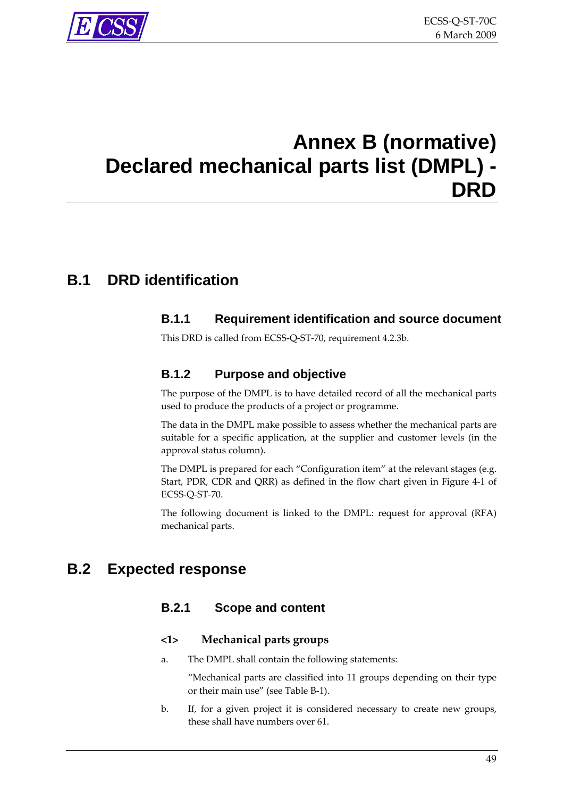# <span id="page-48-1"></span><span id="page-48-0"></span>**Annex B (normative) Declared mechanical parts list (DMPL) - DRD**

# **B.1 DRD identification**

#### **B.1.1 Requirement identification and source document**

This DRD is called from ECSS‐Q‐ST‐70, requirement [4.2.3b.](#page-19-0)

#### **B.1.2 Purpose and objective**

The purpose of the DMPL is to have detailed record of all the mechanical parts used to produce the products of a project or programme.

The data in the DMPL make possible to assess whether the mechanical parts are suitable for a specific application, at the supplier and customer levels (in the approval status column).

The DMPL is prepared for each "Configuration item" at the relevant stages (e.g. Start, PDR, CDR and QRR) as defined in the flow chart given in [Figure](#page-15-0) 4‐1 of ECSS‐Q‐ST‐70.

The following document is linked to the DMPL: request for approval (RFA) mechanical parts.

## **B.2 Expected response**

#### **B.2.1 Scope and content**

#### **<1> Mechanical parts groups**

a. The DMPL shall contain the following statements:

"Mechanical parts are classified into 11 groups depending on their type or their main use" (see [Table](#page-49-0) B‐1).

b. If, for a given project it is considered necessary to create new groups, these shall have numbers over 61.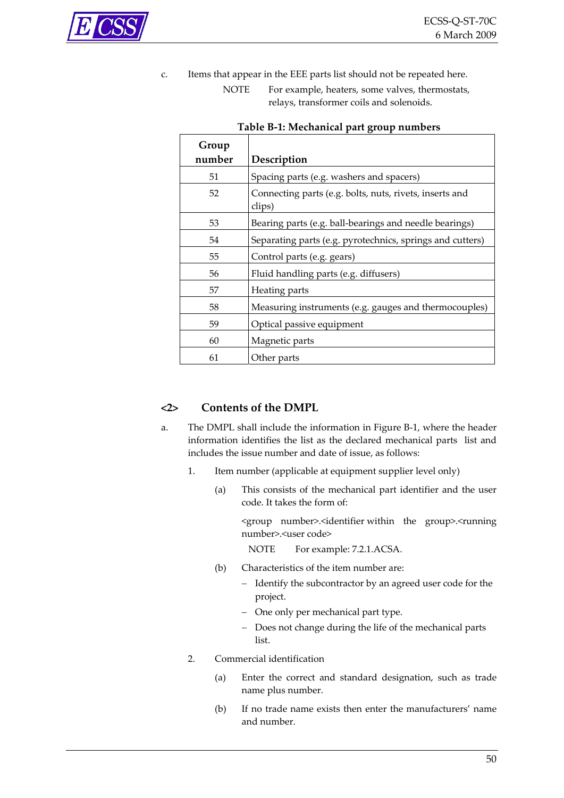<span id="page-49-0"></span>

c. Items that appear in the EEE parts list should not be repeated here.

NOTE For example, heaters, some valves, thermostats, relays, transformer coils and solenoids.

| Group  |                                                                   |
|--------|-------------------------------------------------------------------|
| number | Description                                                       |
| 51     | Spacing parts (e.g. washers and spacers)                          |
| 52     | Connecting parts (e.g. bolts, nuts, rivets, inserts and<br>clips) |
| 53     | Bearing parts (e.g. ball-bearings and needle bearings)            |
| 54     | Separating parts (e.g. pyrotechnics, springs and cutters)         |
| 55     | Control parts (e.g. gears)                                        |
| 56     | Fluid handling parts (e.g. diffusers)                             |
| 57     | Heating parts                                                     |
| 58     | Measuring instruments (e.g. gauges and thermocouples)             |
| 59     | Optical passive equipment                                         |
| 60     | Magnetic parts                                                    |
| 61     | Other parts                                                       |

#### **Table B‐1: Mechanical part group numbers**

#### **<2> Contents of the DMPL**

- a. The DMPL shall include the information in [Figure](#page-53-0) B‐1, where the header information identifies the list as the declared mechanical parts list and includes the issue number and date of issue, as follows:
	- 1. Item number (applicable at equipment supplier level only)
		- (a) This consists of the mechanical part identifier and the user code. It takes the form of:

<group number>.<identifier within the group>.<running number>.<user code>

NOTE For example: 7.2.1.ACSA.

- (b) Characteristics of the item number are:
	- − Identify the subcontractor by an agreed user code for the project.
	- − One only per mechanical part type.
	- − Does not change during the life of the mechanical parts list.
- 2. Commercial identification
	- (a) Enter the correct and standard designation, such as trade name plus number.
	- (b) If no trade name exists then enter the manufacturers' name and number.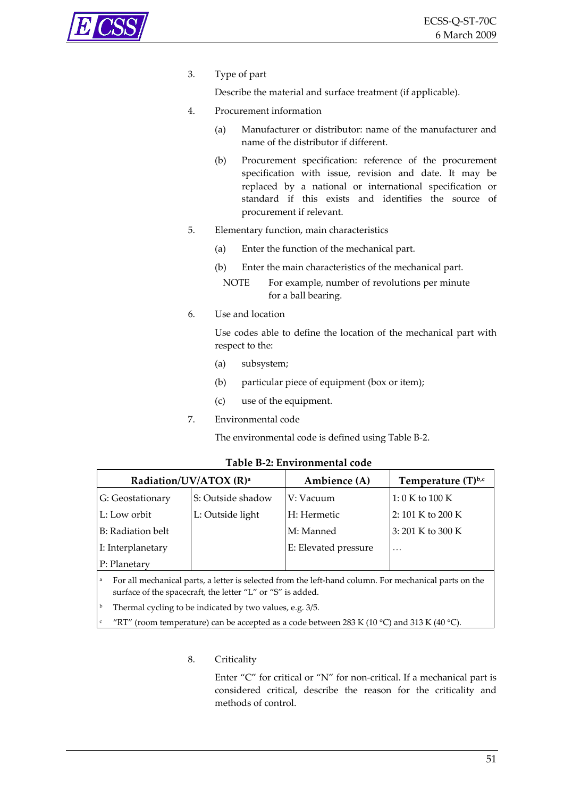<span id="page-50-0"></span>

3. Type of part

Describe the material and surface treatment (if applicable).

- 4. Procurement information
	- (a) Manufacturer or distributor: name of the manufacturer and name of the distributor if different.
	- (b) Procurement specification: reference of the procurement specification with issue, revision and date. It may be replaced by a national or international specification or standard if this exists and identifies the source of procurement if relevant.
- 5. Elementary function, main characteristics
	- (a) Enter the function of the mechanical part.
	- (b) Enter the main characteristics of the mechanical part.
		- NOTE For example, number of revolutions per minute for a ball bearing.
- 6. Use and location

Use codes able to define the location of the mechanical part with respect to the:

- (a) subsystem;
- (b) particular piece of equipment (box or item);
- (c) use of the equipment.
- 7. Environmental code

The environmental code is defined using [Table](#page-50-0) B‐2.

|                   | Radiation/UV/ATOX (R) <sup>a</sup> | Ambience (A)         | Temperature $(T)^{b,c}$ |  |  |
|-------------------|------------------------------------|----------------------|-------------------------|--|--|
| G: Geostationary  | S: Outside shadow                  | V: Vacuum            | 1:0 K to 100 K          |  |  |
| L: Low orbit      | L: Outside light                   | H: Hermetic          | 2: 101 K to 200 K       |  |  |
| B: Radiation belt |                                    | M: Manned            | 3:201 K to 300 K        |  |  |
| I: Interplanetary |                                    | E: Elevated pressure | $\ddotsc$               |  |  |
| P: Planetary      |                                    |                      |                         |  |  |

#### **Table B‐2: Environmental code**

For all mechanical parts, a letter is selected from the left-hand column. For mechanical parts on the surface of the spacecraft, the letter "L" or "S" is added.

Thermal cycling to be indicated by two values, e.g. 3/5.

c "RT" (room temperature) can be accepted as a code between 283 K (10 °C) and 313 K (40 °C).

#### 8. Criticality

Enter "C" for critical or "N" for non-critical. If a mechanical part is considered critical, describe the reason for the criticality and methods of control.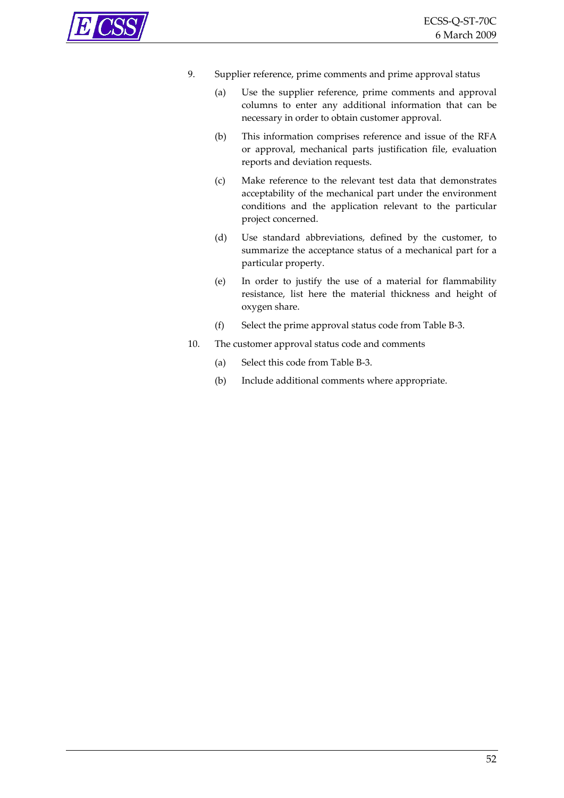

- 9. Supplier reference, prime comments and prime approval status
	- (a) Use the supplier reference, prime comments and approval columns to enter any additional information that can be necessary in order to obtain customer approval.
	- (b) This information comprises reference and issue of the RFA or approval, mechanical parts justification file, evaluation reports and deviation requests.
	- (c) Make reference to the relevant test data that demonstrates acceptability of the mechanical part under the environment conditions and the application relevant to the particular project concerned.
	- (d) Use standard abbreviations, defined by the customer, to summarize the acceptance status of a mechanical part for a particular property.
	- (e) In order to justify the use of a material for flammability resistance, list here the material thickness and height of oxygen share.
	- (f) Select the prime approval status code from [Table](#page-52-0) B‐3.
- 10. The customer approval status code and comments
	- (a) Select this code from [Table](#page-52-0) B‐3.
	- (b) Include additional comments where appropriate.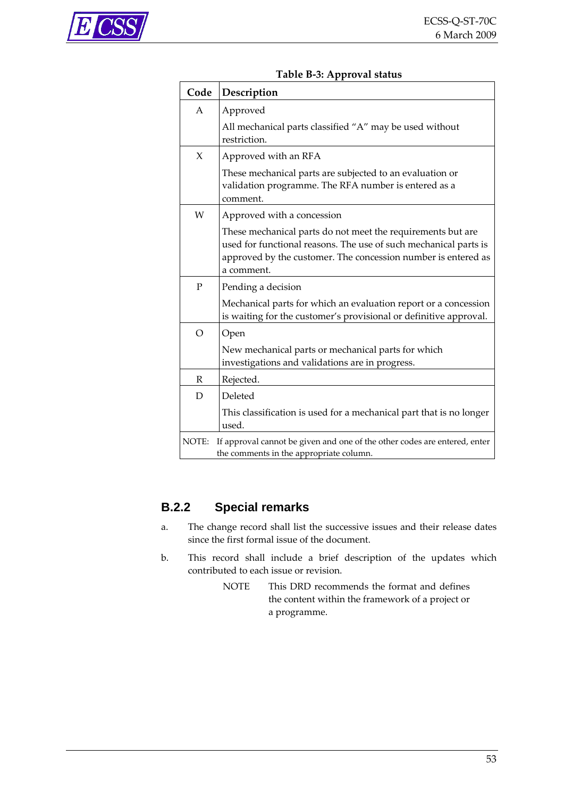<span id="page-52-0"></span>

| Code         | Description                                                                                                                                                                                                    |
|--------------|----------------------------------------------------------------------------------------------------------------------------------------------------------------------------------------------------------------|
| $\mathsf{A}$ | Approved                                                                                                                                                                                                       |
|              | All mechanical parts classified "A" may be used without<br>restriction.                                                                                                                                        |
| $\chi$       | Approved with an RFA                                                                                                                                                                                           |
|              | These mechanical parts are subjected to an evaluation or<br>validation programme. The RFA number is entered as a<br>comment.                                                                                   |
| W            | Approved with a concession                                                                                                                                                                                     |
|              | These mechanical parts do not meet the requirements but are<br>used for functional reasons. The use of such mechanical parts is<br>approved by the customer. The concession number is entered as<br>a comment. |
| $\mathbf{P}$ | Pending a decision                                                                                                                                                                                             |
|              | Mechanical parts for which an evaluation report or a concession<br>is waiting for the customer's provisional or definitive approval.                                                                           |
| $\Omega$     | Open                                                                                                                                                                                                           |
|              | New mechanical parts or mechanical parts for which<br>investigations and validations are in progress.                                                                                                          |
| R            | Rejected.                                                                                                                                                                                                      |
| D            | Deleted                                                                                                                                                                                                        |
|              | This classification is used for a mechanical part that is no longer<br>used.                                                                                                                                   |
| NOTE:        | If approval cannot be given and one of the other codes are entered, enter<br>the comments in the appropriate column.                                                                                           |

#### **Table B‐3: Approval status**

### **B.2.2 Special remarks**

- a. The change record shall list the successive issues and their release dates since the first formal issue of the document.
- b. This record shall include a brief description of the updates which contributed to each issue or revision.
	- NOTE This DRD recommends the format and defines the content within the framework of a project or a programme.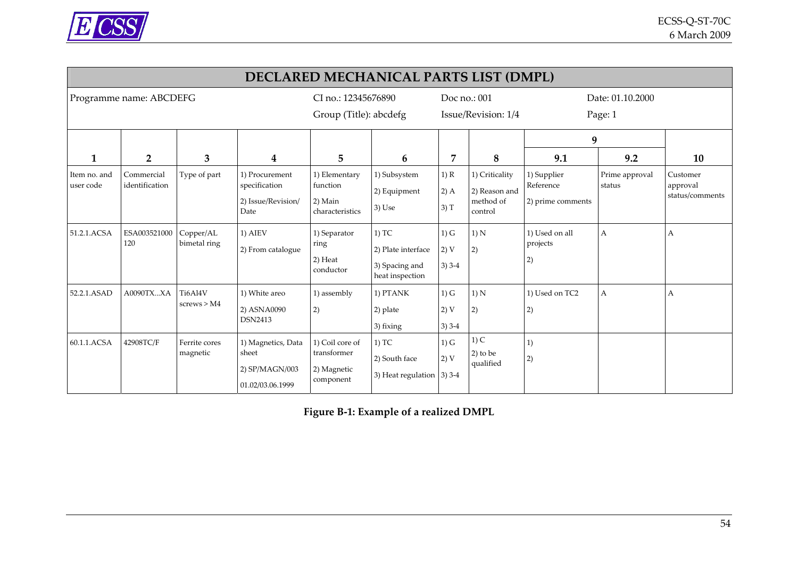

|                           | DECLARED MECHANICAL PARTS LIST (DMPL) |                           |                                                                   |                                                            |                                                                    |                            |                                                         |                                               |                          |                                         |  |
|---------------------------|---------------------------------------|---------------------------|-------------------------------------------------------------------|------------------------------------------------------------|--------------------------------------------------------------------|----------------------------|---------------------------------------------------------|-----------------------------------------------|--------------------------|-----------------------------------------|--|
|                           | Programme name: ABCDEFG               |                           |                                                                   | CI no.: 12345676890                                        |                                                                    | Doc no.: 001               |                                                         | Date: 01.10.2000                              |                          |                                         |  |
|                           |                                       |                           |                                                                   | Group (Title): abcdefg                                     |                                                                    |                            | Issue/Revision: 1/4                                     |                                               | Page: 1                  |                                         |  |
|                           |                                       |                           |                                                                   |                                                            |                                                                    |                            |                                                         | 9                                             |                          |                                         |  |
| 1                         | $\overline{2}$                        | 3                         | 4                                                                 | 5                                                          | 6                                                                  | 7                          | 8                                                       | 9.1                                           | 9.2                      | 10                                      |  |
| Item no. and<br>user code | Commercial<br>identification          | Type of part              | 1) Procurement<br>specification<br>2) Issue/Revision/<br>Date     | 1) Elementary<br>function<br>2) Main<br>characteristics    | 1) Subsystem<br>2) Equipment<br>$3)$ Use                           | 1) R<br>$2)$ A<br>3) T     | 1) Criticality<br>2) Reason and<br>method of<br>control | 1) Supplier<br>Reference<br>2) prime comments | Prime approval<br>status | Customer<br>approval<br>status/comments |  |
| 51.2.1.ACSA               | ESA003521000<br>120                   | Copper/AL<br>bimetal ring | $1)$ AIEV<br>2) From catalogue                                    | 1) Separator<br>ring<br>2) Heat<br>conductor               | $1)$ TC<br>2) Plate interface<br>3) Spacing and<br>heat inspection | $1)$ G<br>2) V<br>$3)$ 3-4 | 1) N<br>2)                                              | 1) Used on all<br>projects<br>2)              | A                        | Α                                       |  |
| 52.2.1.ASAD               | A0090TXXA                             | Ti6Al4V<br>screws > M4    | 1) White areo<br>2) ASNA0090<br><b>DSN2413</b>                    | 1) assembly<br>2)                                          | 1) PTANK<br>2) plate<br>3) fixing                                  | $1)$ G<br>2) V<br>$3)$ 3-4 | 1) N<br>2)                                              | 1) Used on TC2<br>2)                          | A                        | Α                                       |  |
| 60.1.1.ACSA               | 42908TC/F                             | Ferrite cores<br>magnetic | 1) Magnetics, Data<br>sheet<br>2) SP/MAGN/003<br>01.02/03.06.1999 | 1) Coil core of<br>transformer<br>2) Magnetic<br>component | $1)$ TC<br>2) South face<br>3) Heat regulation $ $ 3) 3-4          | $1)$ G<br>2) V             | $1)$ C<br>$2)$ to be<br>qualified                       | 1)<br>2)                                      |                          |                                         |  |

<span id="page-53-0"></span>**Figure <sup>B</sup>‐1: Example of <sup>a</sup> realized DMPL**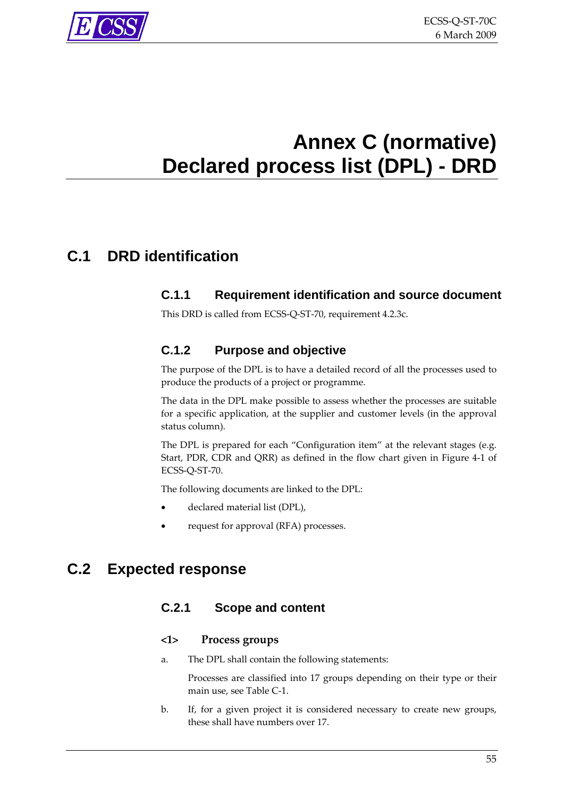<span id="page-54-0"></span>

# <span id="page-54-1"></span>**Annex C (normative) Declared process list (DPL) - DRD**

# **C.1 DRD identification**

#### **C.1.1 Requirement identification and source document**

This DRD is called from ECSS‐Q‐ST‐70, requirement [4.2.3c](#page-19-0).

#### **C.1.2 Purpose and objective**

The purpose of the DPL is to have a detailed record of all the processes used to produce the products of a project or programme.

The data in the DPL make possible to assess whether the processes are suitable for a specific application, at the supplier and customer levels (in the approval status column).

The DPL is prepared for each "Configuration item" at the relevant stages (e.g. Start, PDR, CDR and QRR) as defined in the flow chart given in [Figure](#page-15-0) 4‐1 of ECSS‐Q‐ST‐70.

The following documents are linked to the DPL:

- declared material list (DPL),
- request for approval (RFA) processes.

# **C.2 Expected response**

#### **C.2.1 Scope and content**

#### **<1> Process groups**

a. The DPL shall contain the following statements:

Processes are classified into 17 groups depending on their type or their main use, see [Table](#page-55-0) C‐1.

b. If, for a given project it is considered necessary to create new groups, these shall have numbers over 17.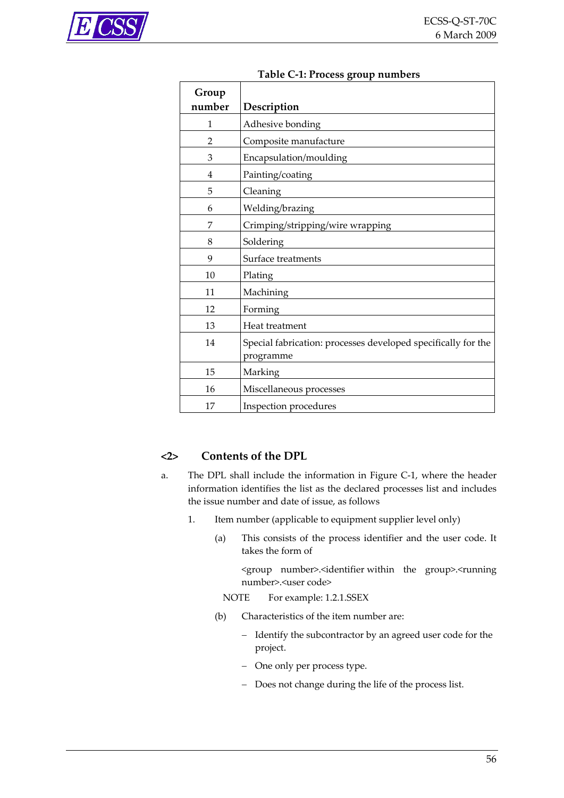<span id="page-55-0"></span>

|                | radic C-1.1 rocess group numbers                                           |
|----------------|----------------------------------------------------------------------------|
| Group          |                                                                            |
| number         | Description                                                                |
| 1              | Adhesive bonding                                                           |
| $\overline{2}$ | Composite manufacture                                                      |
| 3              | Encapsulation/moulding                                                     |
| 4              | Painting/coating                                                           |
| 5              | Cleaning                                                                   |
| 6              | Welding/brazing                                                            |
| 7              | Crimping/stripping/wire wrapping                                           |
| 8              | Soldering                                                                  |
| 9              | Surface treatments                                                         |
| 10             | Plating                                                                    |
| 11             | Machining                                                                  |
| 12             | Forming                                                                    |
| 13             | Heat treatment                                                             |
| 14             | Special fabrication: processes developed specifically for the<br>programme |
| 15             | Marking                                                                    |
| 16             | Miscellaneous processes                                                    |
| 17             | Inspection procedures                                                      |

#### **Table C‐1: Process group numbers**

#### **<2> Contents of the DPL**

- a. The DPL shall include the information in [Figure](#page-58-0) C-1, where the header information identifies the list as the declared processes list and includes the issue number and date of issue, as follows
	- 1. Item number (applicable to equipment supplier level only)
		- (a) This consists of the process identifier and the user code. It takes the form of

<group number>.<identifier within the group>.<running number>.<user code>

- NOTE For example: 1.2.1.SSEX
- (b) Characteristics of the item number are:
	- − Identify the subcontractor by an agreed user code for the project.
	- − One only per process type.
	- − Does not change during the life of the process list.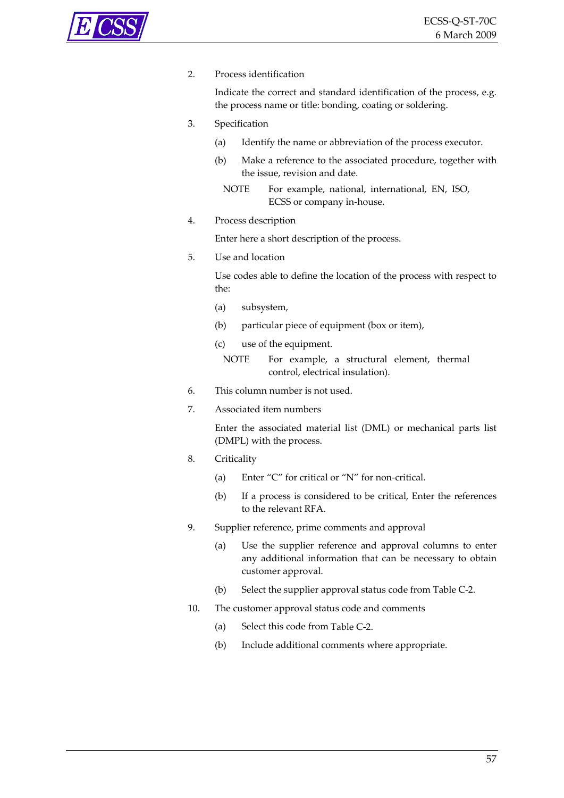#### 2. Process identification

Indicate the correct and standard identification of the process, e.g. the process name or title: bonding, coating or soldering.

- 3. Specification
	- (a) Identify the name or abbreviation of the process executor.
	- (b) Make a reference to the associated procedure, together with the issue, revision and date.
		- NOTE For example, national, international, EN, ISO, ECSS or company in‐house.
- 4. Process description

Enter here a short description of the process.

5. Use and location

Use codes able to define the location of the process with respect to the:

- (a) subsystem,
- (b) particular piece of equipment (box or item),
- (c) use of the equipment.

NOTE For example, a structural element, thermal control, electrical insulation).

- 6. This column number is not used.
- 7. Associated item numbers

Enter the associated material list (DML) or mechanical parts list (DMPL) with the process.

- 8. Criticality
	- (a) Enter "C" for critical or "N" for non-critical.
	- (b) If a process is considered to be critical, Enter the references to the relevant RFA.
- 9. Supplier reference, prime comments and approval
	- (a) Use the supplier reference and approval columns to enter any additional information that can be necessary to obtain customer approval.
	- (b) Select the supplier approval status code from [Table](#page-57-0) C‐2.
- 10. The customer approval status code and comments
	- (a) Select this code from [Table](#page-57-0) C‐2.
	- (b) Include additional comments where appropriate.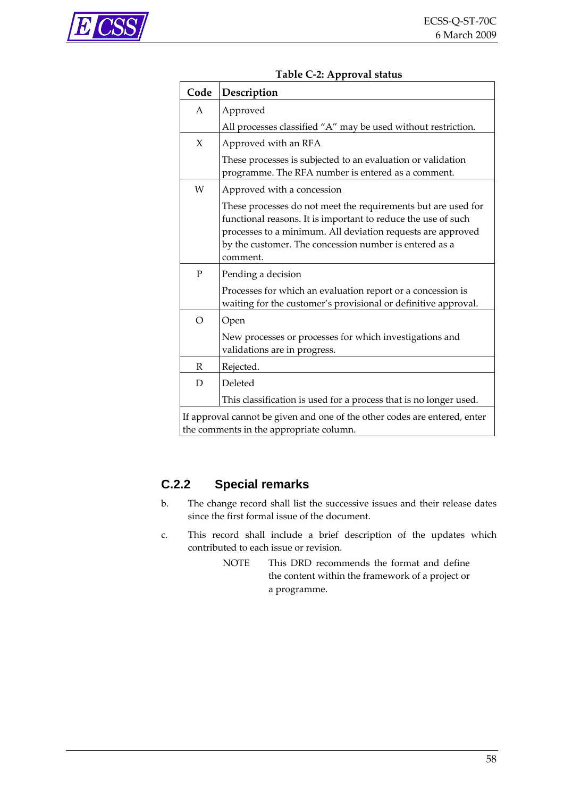<span id="page-57-0"></span>

| Code     | Description                                                                                                                                                                                                                                                         |
|----------|---------------------------------------------------------------------------------------------------------------------------------------------------------------------------------------------------------------------------------------------------------------------|
| A        | Approved                                                                                                                                                                                                                                                            |
|          | All processes classified "A" may be used without restriction.                                                                                                                                                                                                       |
| X        | Approved with an RFA                                                                                                                                                                                                                                                |
|          | These processes is subjected to an evaluation or validation<br>programme. The RFA number is entered as a comment.                                                                                                                                                   |
| W        | Approved with a concession                                                                                                                                                                                                                                          |
|          | These processes do not meet the requirements but are used for<br>functional reasons. It is important to reduce the use of such<br>processes to a minimum. All deviation requests are approved<br>by the customer. The concession number is entered as a<br>comment. |
| P        | Pending a decision                                                                                                                                                                                                                                                  |
|          | Processes for which an evaluation report or a concession is<br>waiting for the customer's provisional or definitive approval.                                                                                                                                       |
| $\Omega$ | Open                                                                                                                                                                                                                                                                |
|          | New processes or processes for which investigations and<br>validations are in progress.                                                                                                                                                                             |
| R        | Rejected.                                                                                                                                                                                                                                                           |
| D        | Deleted                                                                                                                                                                                                                                                             |
|          | This classification is used for a process that is no longer used.                                                                                                                                                                                                   |
|          | If approval cannot be given and one of the other codes are entered, enter                                                                                                                                                                                           |

#### **Table C‐2: Approval status**

If approval cannot be given and one of the other codes are entered, enter the comments in the appropriate column.

#### **C.2.2 Special remarks**

- b. The change record shall list the successive issues and their release dates since the first formal issue of the document.
- c. This record shall include a brief description of the updates which contributed to each issue or revision.
	- NOTE This DRD recommends the format and define the content within the framework of a project or a programme.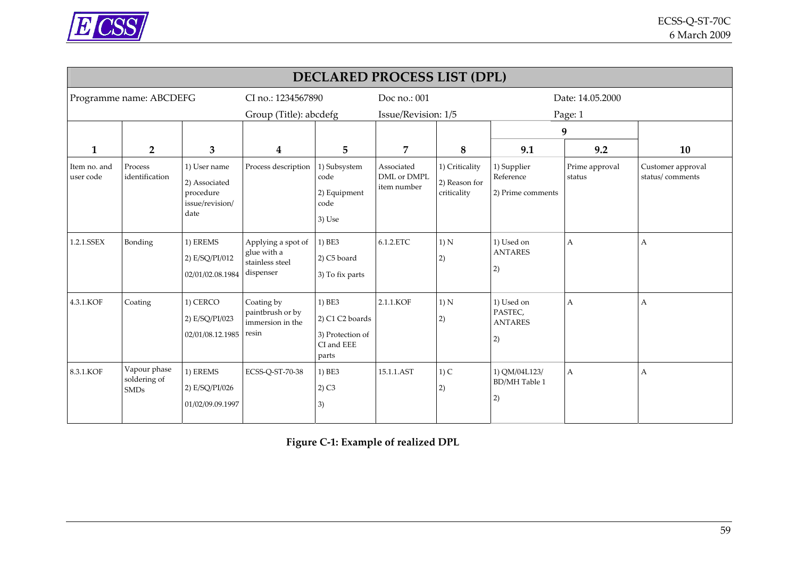

| <b>DECLARED PROCESS LIST (DPL)</b> |                                             |                                                                       |                                                                   |                                                                      |                                          |                                                |                                               |                          |                                      |  |  |
|------------------------------------|---------------------------------------------|-----------------------------------------------------------------------|-------------------------------------------------------------------|----------------------------------------------------------------------|------------------------------------------|------------------------------------------------|-----------------------------------------------|--------------------------|--------------------------------------|--|--|
|                                    | Programme name: ABCDEFG                     |                                                                       | CI no.: 1234567890                                                |                                                                      | Doc no.: 001                             |                                                | Date: 14.05.2000                              |                          |                                      |  |  |
|                                    |                                             |                                                                       | Group (Title): abcdefg                                            |                                                                      | Issue/Revision: 1/5                      |                                                | Page: 1                                       |                          |                                      |  |  |
|                                    |                                             |                                                                       |                                                                   |                                                                      |                                          |                                                |                                               | 9                        |                                      |  |  |
| 1                                  | $\overline{2}$                              | 3                                                                     | $\bf{4}$                                                          | 5                                                                    | 7                                        | 8                                              | 9.1                                           | 9.2                      | 10                                   |  |  |
| Item no. and<br>user code          | Process<br>identification                   | 1) User name<br>2) Associated<br>procedure<br>issue/revision/<br>date | Process description                                               | 1) Subsystem<br>code<br>2) Equipment<br>code<br>3) Use               | Associated<br>DML or DMPL<br>item number | 1) Criticality<br>2) Reason for<br>criticality | 1) Supplier<br>Reference<br>2) Prime comments | Prime approval<br>status | Customer approval<br>status/comments |  |  |
| 1.2.1.SSEX                         | Bonding                                     | 1) EREMS<br>2) E/SQ/PI/012<br>02/01/02.08.1984                        | Applying a spot of<br>glue with a<br>stainless steel<br>dispenser | $ 1)$ BE3<br>2) C5 board<br>3) To fix parts                          | 6.1.2.ETC                                | 1) N<br>2)                                     | 1) Used on<br><b>ANTARES</b><br>2)            | A                        | А                                    |  |  |
| 4.3.1.KOF                          | Coating                                     | 1) CERCO<br>2) E/SQ/PI/023<br>02/01/08.12.1985                        | Coating by<br>paintbrush or by<br>immersion in the<br>resin       | 1) BE3<br>2) C1 C2 boards<br>3) Protection of<br>CI and EEE<br>parts | 2.1.1.KOF                                | 1) N<br>2)                                     | 1) Used on<br>PASTEC,<br><b>ANTARES</b><br>2) | Α                        | A                                    |  |  |
| 8.3.1.KOF                          | Vapour phase<br>soldering of<br><b>SMDs</b> | 1) EREMS<br>2) E/SQ/PI/026<br>01/02/09.09.1997                        | ECSS-Q-ST-70-38                                                   | 1) BE3<br>$2)$ C <sub>3</sub><br>3)                                  | 15.1.1.AST                               | $1)$ C<br>2)                                   | 1) QM/04L123/<br><b>BD/MH</b> Table 1<br>2)   | A                        | Α                                    |  |  |

<span id="page-58-0"></span>**Figure C‐1: Example of realized DPL**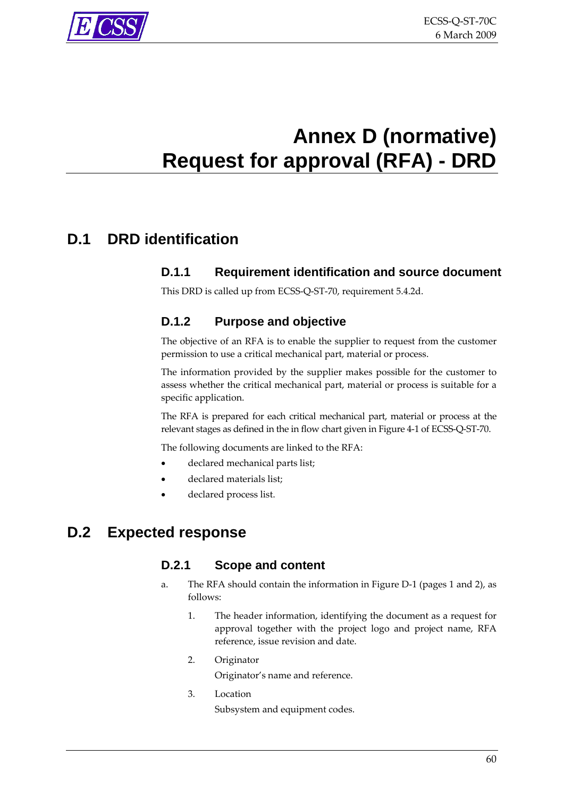<span id="page-59-0"></span>

# <span id="page-59-1"></span>**Annex D (normative) Request for approval (RFA) - DRD**

## **D.1 DRD identification**

#### **D.1.1 Requirement identification and source document**

This DRD is called up from ECSS‐Q‐ST‐70, requirement [5.4.2d.](#page-27-0)

#### **D.1.2 Purpose and objective**

The objective of an RFA is to enable the supplier to request from the customer permission to use a critical mechanical part, material or process.

The information provided by the supplier makes possible for the customer to assess whether the critical mechanical part, material or process is suitable for a specific application.

The RFA is prepared for each critical mechanical part, material or process at the relevant stages as defined in the in flow chart given in [Figure](#page-15-0) 4‐1 of ECSS‐Q‐ST‐70.

The following documents are linked to the RFA:

- declared mechanical parts list;
- declared materials list;
- declared process list.

## **D.2 Expected response**

#### **D.2.1 Scope and content**

- a. The RFA should contain the information in [Figure](#page-61-0) D‐1 (pages 1 and 2), as follows:
	- 1. The header information, identifying the document as a request for approval together with the project logo and project name, RFA reference, issue revision and date.
	- 2. Originator

Originator's name and reference.

3. Location

Subsystem and equipment codes.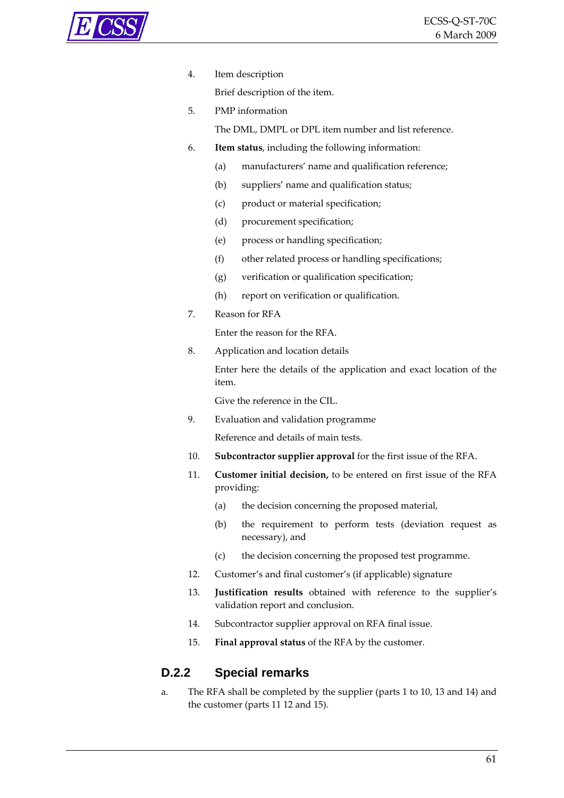

4. Item description

Brief description of the item.

5. PMP information

The DML, DMPL or DPL item number and list reference.

- 6. **Item status**, including the following information:
	- (a) manufacturers' name and qualification reference;
	- (b) suppliers' name and qualification status;
	- (c) product or material specification;
	- (d) procurement specification;
	- (e) process or handling specification;
	- (f) other related process or handling specifications;
	- (g) verification or qualification specification;
	- (h) report on verification or qualification.
- 7. Reason for RFA

Enter the reason for the RFA.

8. Application and location details

Enter here the details of the application and exact location of the item.

Give the reference in the CIL.

9. Evaluation and validation programme

Reference and details of main tests.

- 10. **Subcontractor supplier approval** for the first issue of the RFA.
- 11. **Customer initial decision,** to be entered on first issue of the RFA providing:
	- (a) the decision concerning the proposed material,
	- (b) the requirement to perform tests (deviation request as necessary), and
	- (c) the decision concerning the proposed test programme.
- 12. Customer's and final customer's (if applicable) signature
- 13. **Justification results** obtained with reference to the supplier's validation report and conclusion.
- 14. Subcontractor supplier approval on RFA final issue.
- 15. **Final approval status** of the RFA by the customer.

#### **D.2.2 Special remarks**

a. The RFA shall be completed by the supplier (parts 1 to 10, 13 and 14) and the customer (parts 11 12 and 15).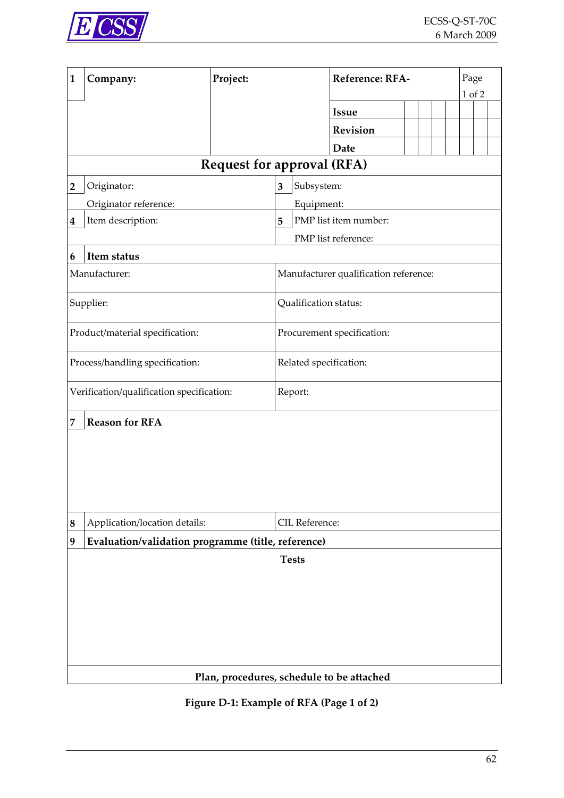<span id="page-61-0"></span>

| 1              | Company:                                           | Project:                   |                        |                                   | Reference: RFA-                       |  |  |  |  | Page<br>1 of 2 |  |  |  |  |
|----------------|----------------------------------------------------|----------------------------|------------------------|-----------------------------------|---------------------------------------|--|--|--|--|----------------|--|--|--|--|
|                |                                                    |                            |                        |                                   |                                       |  |  |  |  |                |  |  |  |  |
|                |                                                    |                            |                        |                                   | <b>Issue</b>                          |  |  |  |  |                |  |  |  |  |
|                |                                                    |                            |                        |                                   | <b>Revision</b>                       |  |  |  |  |                |  |  |  |  |
|                |                                                    |                            |                        |                                   | Date                                  |  |  |  |  |                |  |  |  |  |
|                |                                                    |                            |                        | <b>Request for approval (RFA)</b> |                                       |  |  |  |  |                |  |  |  |  |
| $\overline{2}$ | Originator:                                        | Subsystem:<br>3            |                        |                                   |                                       |  |  |  |  |                |  |  |  |  |
|                | Originator reference:                              |                            |                        | Equipment:                        |                                       |  |  |  |  |                |  |  |  |  |
| 4              | Item description:                                  |                            | 5                      |                                   | PMP list item number:                 |  |  |  |  |                |  |  |  |  |
|                |                                                    |                            |                        |                                   | PMP list reference:                   |  |  |  |  |                |  |  |  |  |
| 6              | Item status                                        |                            |                        |                                   |                                       |  |  |  |  |                |  |  |  |  |
|                | Manufacturer:                                      |                            |                        |                                   | Manufacturer qualification reference: |  |  |  |  |                |  |  |  |  |
|                | Supplier:                                          |                            |                        | Qualification status:             |                                       |  |  |  |  |                |  |  |  |  |
|                | Product/material specification:                    | Procurement specification: |                        |                                   |                                       |  |  |  |  |                |  |  |  |  |
|                | Process/handling specification:                    |                            | Related specification: |                                   |                                       |  |  |  |  |                |  |  |  |  |
|                | Verification/qualification specification:          |                            | Report:                |                                   |                                       |  |  |  |  |                |  |  |  |  |
| 7              | <b>Reason for RFA</b>                              |                            |                        |                                   |                                       |  |  |  |  |                |  |  |  |  |
|                |                                                    |                            |                        |                                   |                                       |  |  |  |  |                |  |  |  |  |
|                |                                                    |                            |                        |                                   |                                       |  |  |  |  |                |  |  |  |  |
|                |                                                    |                            |                        |                                   |                                       |  |  |  |  |                |  |  |  |  |
|                |                                                    |                            |                        |                                   |                                       |  |  |  |  |                |  |  |  |  |
|                |                                                    |                            |                        |                                   |                                       |  |  |  |  |                |  |  |  |  |
| 8              | Application/location details:                      |                            | CIL Reference:         |                                   |                                       |  |  |  |  |                |  |  |  |  |
| 9              | Evaluation/validation programme (title, reference) |                            |                        |                                   |                                       |  |  |  |  |                |  |  |  |  |
|                |                                                    |                            | <b>Tests</b>           |                                   |                                       |  |  |  |  |                |  |  |  |  |
|                |                                                    |                            |                        |                                   |                                       |  |  |  |  |                |  |  |  |  |
|                |                                                    |                            |                        |                                   |                                       |  |  |  |  |                |  |  |  |  |
|                |                                                    |                            |                        |                                   |                                       |  |  |  |  |                |  |  |  |  |
|                |                                                    |                            |                        |                                   |                                       |  |  |  |  |                |  |  |  |  |
|                |                                                    |                            |                        |                                   |                                       |  |  |  |  |                |  |  |  |  |
|                |                                                    |                            |                        |                                   |                                       |  |  |  |  |                |  |  |  |  |
|                | Plan, procedures, schedule to be attached          |                            |                        |                                   |                                       |  |  |  |  |                |  |  |  |  |

**Figure D‐1: Example of RFA (Page 1 of 2)**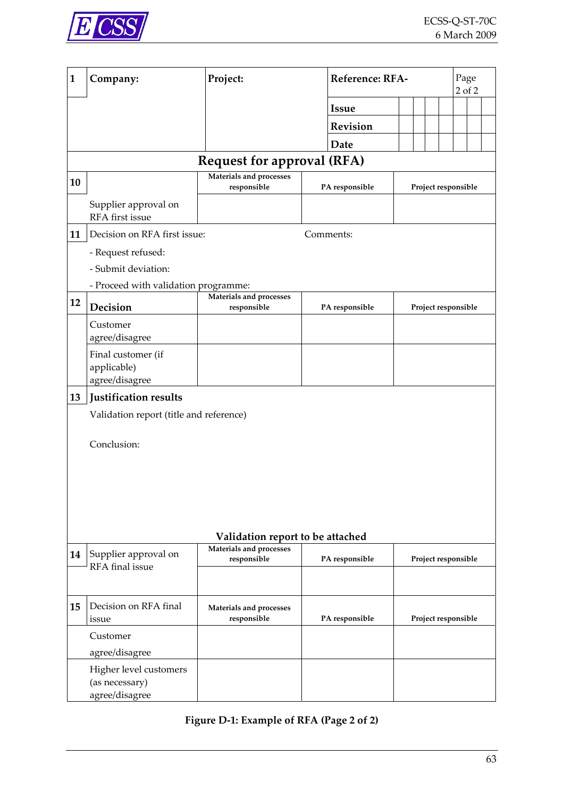<span id="page-62-0"></span>

| $\mathbf{1}$ | Company:                                 | Project:                               |                                  | Reference: RFA- |                     |  |  |  |
|--------------|------------------------------------------|----------------------------------------|----------------------------------|-----------------|---------------------|--|--|--|
|              |                                          |                                        | <b>Issue</b>                     |                 |                     |  |  |  |
|              |                                          |                                        | Revision                         |                 |                     |  |  |  |
|              |                                          |                                        | Date                             |                 |                     |  |  |  |
|              |                                          | <b>Request for approval (RFA)</b>      |                                  |                 |                     |  |  |  |
| 10           |                                          | Materials and processes                |                                  |                 |                     |  |  |  |
|              |                                          | responsible                            | PA responsible                   |                 | Project responsible |  |  |  |
|              | Supplier approval on<br>RFA first issue  |                                        |                                  |                 |                     |  |  |  |
| 11           | Decision on RFA first issue:             |                                        | Comments:                        |                 |                     |  |  |  |
|              | - Request refused:                       |                                        |                                  |                 |                     |  |  |  |
|              | - Submit deviation:                      |                                        |                                  |                 |                     |  |  |  |
|              | - Proceed with validation programme:     |                                        |                                  |                 |                     |  |  |  |
| 12           | Decision                                 | Materials and processes<br>responsible | PA responsible                   |                 | Project responsible |  |  |  |
|              | Customer                                 |                                        |                                  |                 |                     |  |  |  |
|              | agree/disagree                           |                                        |                                  |                 |                     |  |  |  |
|              | Final customer (if                       |                                        |                                  |                 |                     |  |  |  |
|              | applicable)                              |                                        |                                  |                 |                     |  |  |  |
|              | agree/disagree                           |                                        |                                  |                 |                     |  |  |  |
| 13           | Justification results                    |                                        |                                  |                 |                     |  |  |  |
|              | Validation report (title and reference)  |                                        |                                  |                 |                     |  |  |  |
|              | Conclusion:                              |                                        |                                  |                 |                     |  |  |  |
|              |                                          |                                        |                                  |                 |                     |  |  |  |
|              |                                          |                                        |                                  |                 |                     |  |  |  |
|              |                                          |                                        |                                  |                 |                     |  |  |  |
|              |                                          |                                        |                                  |                 |                     |  |  |  |
|              |                                          |                                        |                                  |                 |                     |  |  |  |
|              |                                          |                                        | Validation report to be attached |                 |                     |  |  |  |
|              |                                          |                                        |                                  |                 |                     |  |  |  |
| 14           | Supplier approval on                     | Materials and processes<br>responsible | PA responsible                   |                 | Project responsible |  |  |  |
|              | RFA final issue                          |                                        |                                  |                 |                     |  |  |  |
|              |                                          |                                        |                                  |                 |                     |  |  |  |
| 15           | Decision on RFA final<br>issue           | Materials and processes<br>responsible | PA responsible                   |                 | Project responsible |  |  |  |
|              | Customer                                 |                                        |                                  |                 |                     |  |  |  |
|              | agree/disagree                           |                                        |                                  |                 |                     |  |  |  |
|              | Higher level customers<br>(as necessary) |                                        |                                  |                 |                     |  |  |  |

**Figure D‐1: Example of RFA (Page 2 of 2)**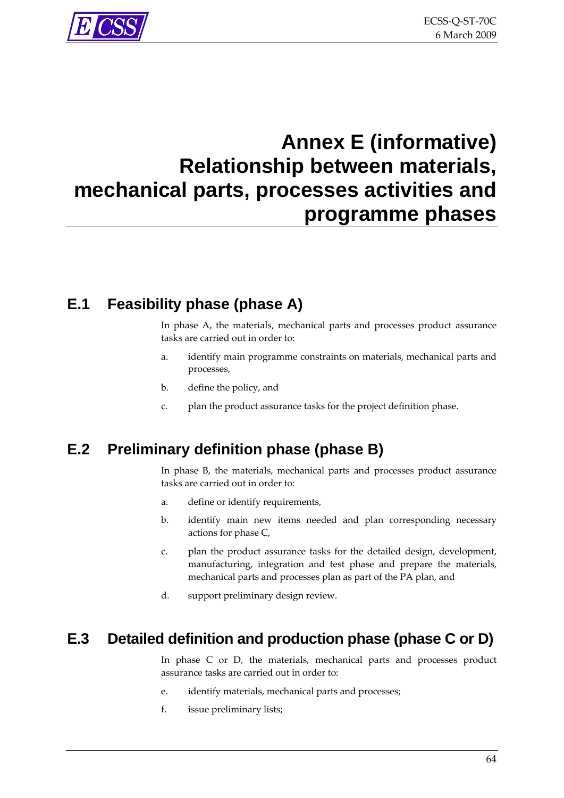# <span id="page-63-0"></span>**Annex E (informative) Relationship between materials, mechanical parts, processes activities and programme phases**

# **E.1 Feasibility phase (phase A)**

In phase A, the materials, mechanical parts and processes product assurance tasks are carried out in order to:

- a. identify main programme constraints on materials, mechanical parts and processes,
- b. define the policy, and
- c. plan the product assurance tasks for the project definition phase.

# **E.2 Preliminary definition phase (phase B)**

In phase B, the materials, mechanical parts and processes product assurance tasks are carried out in order to:

- a. define or identify requirements,
- b. identify main new items needed and plan corresponding necessary actions for phase C,
- c. plan the product assurance tasks for the detailed design, development, manufacturing, integration and test phase and prepare the materials, mechanical parts and processes plan as part of the PA plan, and
- d. support preliminary design review.

## **E.3 Detailed definition and production phase (phase C or D)**

In phase C or D, the materials, mechanical parts and processes product assurance tasks are carried out in order to:

- e. identify materials, mechanical parts and processes;
- f. issue preliminary lists;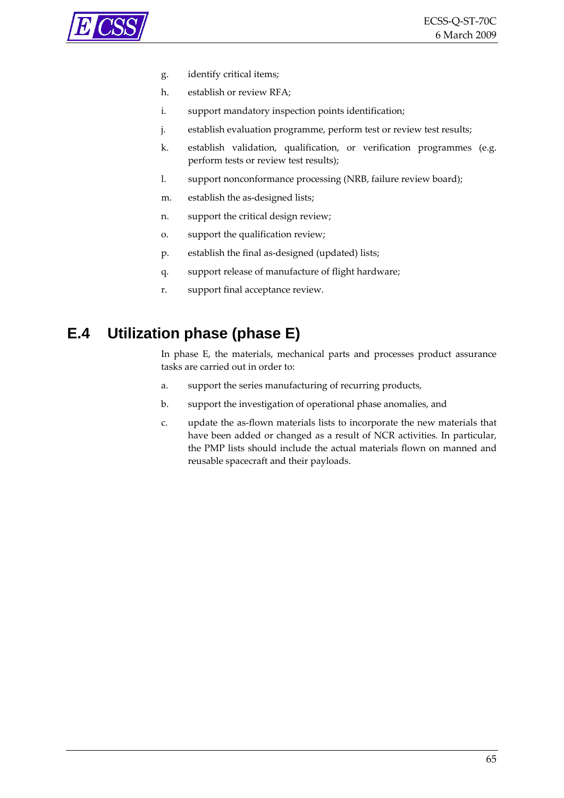<span id="page-64-0"></span>

- g. identify critical items;
- h. establish or review RFA;
- i. support mandatory inspection points identification;
- j. establish evaluation programme, perform test or review test results;
- k. establish validation, qualification, or verification programmes (e.g. perform tests or review test results);
- l. support nonconformance processing (NRB, failure review board);
- m. establish the as-designed lists;
- n. support the critical design review;
- o. support the qualification review;
- p. establish the final as‐designed (updated) lists;
- q. support release of manufacture of flight hardware;
- r. support final acceptance review.

# **E.4 Utilization phase (phase E)**

In phase E, the materials, mechanical parts and processes product assurance tasks are carried out in order to:

- a. support the series manufacturing of recurring products,
- b. support the investigation of operational phase anomalies, and
- c. update the as‐flown materials lists to incorporate the new materials that have been added or changed as a result of NCR activities. In particular, the PMP lists should include the actual materials flown on manned and reusable spacecraft and their payloads.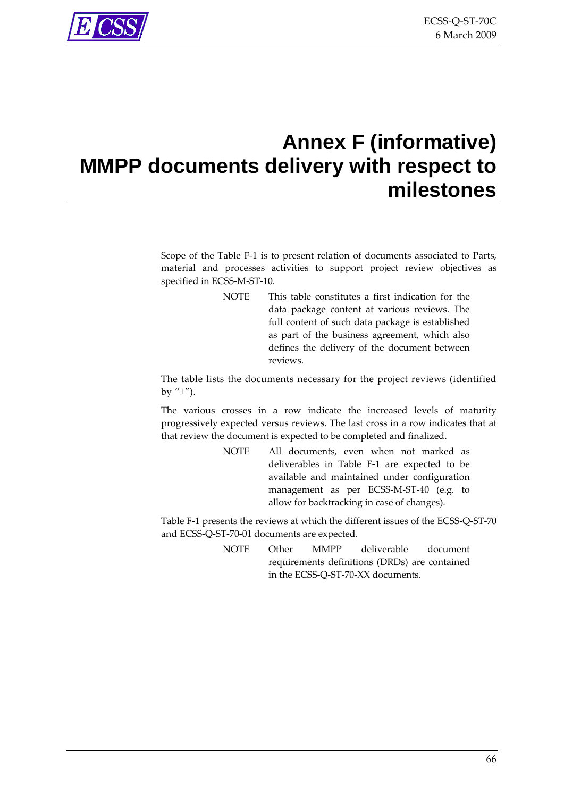<span id="page-65-0"></span>

# **Annex F (informative) MMPP documents delivery with respect to milestones**

Scope of the [Table](#page-66-0) F-1 is to present relation of documents associated to Parts, material and processes activities to support project review objectives as specified in ECSS-M-ST-10.

> NOTE This table constitutes a first indication for the data package content at various reviews. The full content of such data package is established as part of the business agreement, which also defines the delivery of the document between reviews.

The table lists the documents necessary for the project reviews (identified by  $"+''.$ ).

The various crosses in a row indicate the increased levels of maturity progressively expected versus reviews. The last cross in a row indicates that at that review the document is expected to be completed and finalized.

> NOTE All documents, even when not marked as deliverables in [Table](#page-66-0) F‐1 are expected to be available and maintained under configuration management as per ECSS‐M‐ST‐40 (e.g. to allow for backtracking in case of changes).

[Table](#page-66-0) F-1 presents the reviews at which the different issues of the ECSS-Q-ST-70 and ECSS‐Q‐ST‐70‐01 documents are expected.

> NOTE Other MMPP deliverable document requirements definitions (DRDs) are contained in the ECSS‐Q‐ST‐70‐XX documents.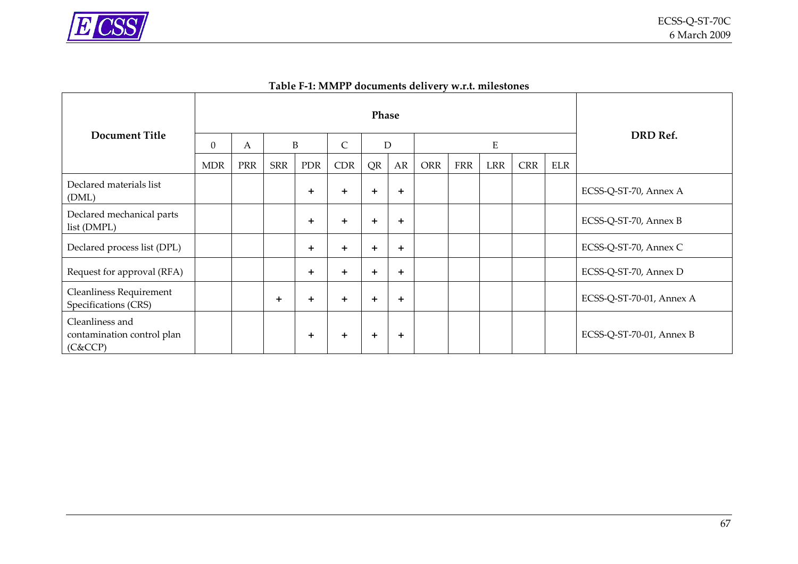

| Table F-1: MMPP documents delivery w.r.t. milestones |  |  |  |
|------------------------------------------------------|--|--|--|
|------------------------------------------------------|--|--|--|

<span id="page-66-0"></span>

|                                                          | Phase      |     |            |            |              |           |       |            |            |            |            |            |                          |
|----------------------------------------------------------|------------|-----|------------|------------|--------------|-----------|-------|------------|------------|------------|------------|------------|--------------------------|
| <b>Document Title</b>                                    | $\Omega$   | A   | B          |            | $\mathsf{C}$ | D         |       | ${\bf E}$  |            |            |            | DRD Ref.   |                          |
|                                                          | <b>MDR</b> | PRR | <b>SRR</b> | <b>PDR</b> | <b>CDR</b>   | QR        | AR    | <b>ORR</b> | <b>FRR</b> | <b>LRR</b> | <b>CRR</b> | <b>ELR</b> |                          |
| Declared materials list<br>(DML)                         |            |     |            | $\pm$      | $+$          | $\ddot{}$ | $\pm$ |            |            |            |            |            | ECSS-Q-ST-70, Annex A    |
| Declared mechanical parts<br>list (DMPL)                 |            |     |            | $+$        | $\div$       | $\ddot{}$ | $\pm$ |            |            |            |            |            | ECSS-Q-ST-70, Annex B    |
| Declared process list (DPL)                              |            |     |            | $+$        | $+$          | $\ddot{}$ | $\pm$ |            |            |            |            |            | ECSS-Q-ST-70, Annex C    |
| Request for approval (RFA)                               |            |     |            | $+$        | $\pm$        | $\pm$     | $\pm$ |            |            |            |            |            | ECSS-Q-ST-70, Annex D    |
| <b>Cleanliness Requirement</b><br>Specifications (CRS)   |            |     | $\ddot{}$  | $\pm$      | $\ddot{}$    | $\ddot{}$ | $\pm$ |            |            |            |            |            | ECSS-Q-ST-70-01, Annex A |
| Cleanliness and<br>contamination control plan<br>(C&CCP) |            |     |            | $\pm$      | ٠            | $\pm$     | $\pm$ |            |            |            |            |            | ECSS-Q-ST-70-01, Annex B |